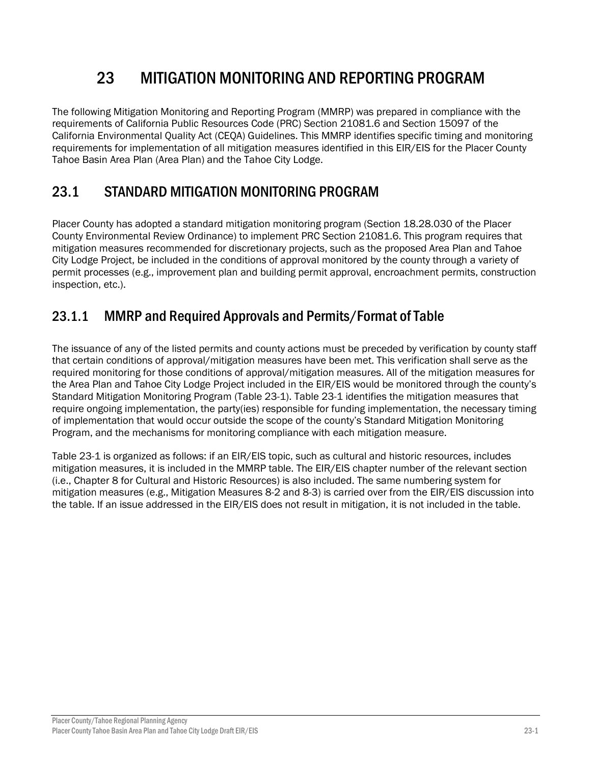# 23 MITIGATION MONITORING AND REPORTING PROGRAM

The following Mitigation Monitoring and Reporting Program (MMRP) was prepared in compliance with the requirements of California Public Resources Code (PRC) Section 21081.6 and Section 15097 of the California Environmental Quality Act (CEQA) Guidelines. This MMRP identifies specific timing and monitoring requirements for implementation of all mitigation measures identified in this EIR/EIS for the Placer County Tahoe Basin Area Plan (Area Plan) and the Tahoe City Lodge.

# 23.1 STANDARD MITIGATION MONITORING PROGRAM

Placer County has adopted a standard mitigation monitoring program (Section 18.28.030 of the Placer County Environmental Review Ordinance) to implement PRC Section 21081.6. This program requires that mitigation measures recommended for discretionary projects, such as the proposed Area Plan and Tahoe City Lodge Project, be included in the conditions of approval monitored by the county through a variety of permit processes (e.g., improvement plan and building permit approval, encroachment permits, construction inspection, etc.).

## 23.1.1 MMRP and Required Approvals and Permits/Format of Table

The issuance of any of the listed permits and county actions must be preceded by verification by county staff that certain conditions of approval/mitigation measures have been met. This verification shall serve as the required monitoring for those conditions of approval/mitigation measures. All of the mitigation measures for the Area Plan and Tahoe City Lodge Project included in the EIR/EIS would be monitored through the county's Standard Mitigation Monitoring Program (Table 23-1). Table 23-1 identifies the mitigation measures that require ongoing implementation, the party(ies) responsible for funding implementation, the necessary timing of implementation that would occur outside the scope of the county's Standard Mitigation Monitoring Program, and the mechanisms for monitoring compliance with each mitigation measure.

Table 23-1 is organized as follows: if an EIR/EIS topic, such as cultural and historic resources, includes mitigation measures, it is included in the MMRP table. The EIR/EIS chapter number of the relevant section (i.e., Chapter 8 for Cultural and Historic Resources) is also included. The same numbering system for mitigation measures (e.g., Mitigation Measures 8-2 and 8-3) is carried over from the EIR/EIS discussion into the table. If an issue addressed in the EIR/EIS does not result in mitigation, it is not included in the table.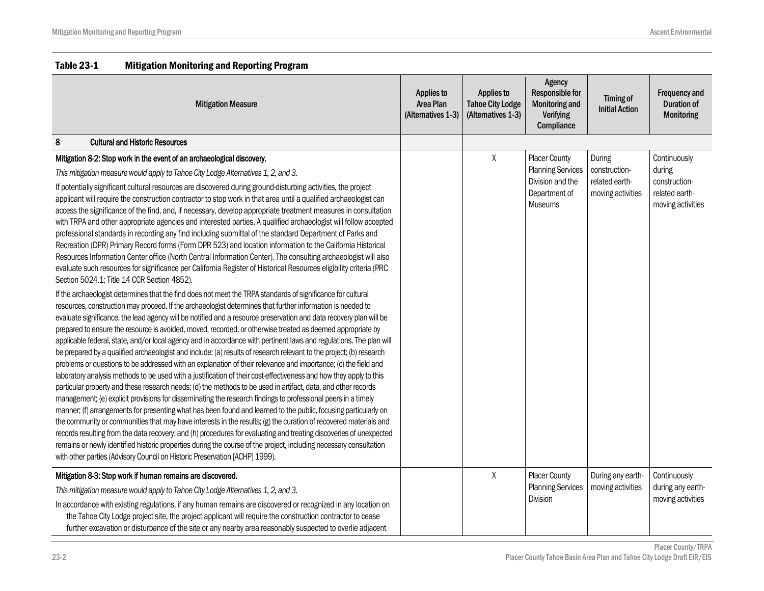| <b>Mitigation Measure</b>                                                                                                                                                                                                                                                                                                                                                                                                                                                                                                                                                                                                                                                                                                                                                                                                                                                                                                                                                                                                                                                                                                                                                                                                                                                                                                                                                                                                                                                                                                                                                                                                                                                                                                                                                                                                                                                                                                                                                                                                                                                                                                                                                                                                                                                                                                                                                                                                                                                                                                                                                                                                                                                                                                                                                                                                                                                                                         | <b>Applies to</b><br>Area Plan<br>(Alternatives 1-3) | <b>Applies to</b><br><b>Tahoe City Lodge</b><br>(Alternatives 1-3) | Agency<br><b>Responsible for</b><br><b>Monitoring and</b><br>Verifying<br>Compliance             | Timing of<br><b>Initial Action</b>                             | <b>Frequency and</b><br><b>Duration of</b><br><b>Monitoring</b>                |
|-------------------------------------------------------------------------------------------------------------------------------------------------------------------------------------------------------------------------------------------------------------------------------------------------------------------------------------------------------------------------------------------------------------------------------------------------------------------------------------------------------------------------------------------------------------------------------------------------------------------------------------------------------------------------------------------------------------------------------------------------------------------------------------------------------------------------------------------------------------------------------------------------------------------------------------------------------------------------------------------------------------------------------------------------------------------------------------------------------------------------------------------------------------------------------------------------------------------------------------------------------------------------------------------------------------------------------------------------------------------------------------------------------------------------------------------------------------------------------------------------------------------------------------------------------------------------------------------------------------------------------------------------------------------------------------------------------------------------------------------------------------------------------------------------------------------------------------------------------------------------------------------------------------------------------------------------------------------------------------------------------------------------------------------------------------------------------------------------------------------------------------------------------------------------------------------------------------------------------------------------------------------------------------------------------------------------------------------------------------------------------------------------------------------------------------------------------------------------------------------------------------------------------------------------------------------------------------------------------------------------------------------------------------------------------------------------------------------------------------------------------------------------------------------------------------------------------------------------------------------------------------------------------------------|------------------------------------------------------|--------------------------------------------------------------------|--------------------------------------------------------------------------------------------------|----------------------------------------------------------------|--------------------------------------------------------------------------------|
| 8<br><b>Cultural and Historic Resources</b>                                                                                                                                                                                                                                                                                                                                                                                                                                                                                                                                                                                                                                                                                                                                                                                                                                                                                                                                                                                                                                                                                                                                                                                                                                                                                                                                                                                                                                                                                                                                                                                                                                                                                                                                                                                                                                                                                                                                                                                                                                                                                                                                                                                                                                                                                                                                                                                                                                                                                                                                                                                                                                                                                                                                                                                                                                                                       |                                                      |                                                                    |                                                                                                  |                                                                |                                                                                |
| Mitigation 8-2: Stop work in the event of an archaeological discovery.<br>This mitigation measure would apply to Tahoe City Lodge Alternatives 1, 2, and 3.<br>If potentially significant cultural resources are discovered during ground-disturbing activities, the project<br>applicant will require the construction contractor to stop work in that area until a qualified archaeologist can<br>access the significance of the find, and, if necessary, develop appropriate treatment measures in consultation<br>with TRPA and other appropriate agencies and interested parties. A qualified archaeologist will follow accepted<br>professional standards in recording any find including submittal of the standard Department of Parks and<br>Recreation (DPR) Primary Record forms (Form DPR 523) and location information to the California Historical<br>Resources Information Center office (North Central Information Center). The consulting archaeologist will also<br>evaluate such resources for significance per California Register of Historical Resources eligibility criteria (PRC<br>Section 5024.1; Title 14 CCR Section 4852).<br>If the archaeologist determines that the find does not meet the TRPA standards of significance for cultural<br>resources, construction may proceed. If the archaeologist determines that further information is needed to<br>evaluate significance, the lead agency will be notified and a resource preservation and data recovery plan will be<br>prepared to ensure the resource is avoided, moved, recorded, or otherwise treated as deemed appropriate by<br>applicable federal, state, and/or local agency and in accordance with pertinent laws and regulations. The plan will<br>be prepared by a qualified archaeologist and include: (a) results of research relevant to the project; (b) research<br>problems or questions to be addressed with an explanation of their relevance and importance; (c) the field and<br>laboratory analysis methods to be used with a justification of their cost-effectiveness and how they apply to this<br>particular property and these research needs; (d) the methods to be used in artifact, data, and other records<br>management; (e) explicit provisions for disseminating the research findings to professional peers in a timely<br>manner; (f) arrangements for presenting what has been found and learned to the public, focusing particularly on<br>the community or communities that may have interests in the results; (g) the curation of recovered materials and<br>records resulting from the data recovery; and (h) procedures for evaluating and treating discoveries of unexpected<br>remains or newly identified historic properties during the course of the project, including necessary consultation<br>with other parties (Advisory Council on Historic Preservation [ACHP] 1999). |                                                      | $\mathsf{X}$                                                       | <b>Placer County</b><br><b>Planning Services</b><br>Division and the<br>Department of<br>Museums | During<br>construction-<br>related earth-<br>moving activities | Continuously<br>during<br>construction-<br>related earth-<br>moving activities |
| Mitigation 8-3: Stop work if human remains are discovered.<br>This mitigation measure would apply to Tahoe City Lodge Alternatives 1, 2, and 3.<br>In accordance with existing regulations, if any human remains are discovered or recognized in any location on<br>the Tahoe City Lodge project site, the project applicant will require the construction contractor to cease<br>further excavation or disturbance of the site or any nearby area reasonably suspected to overlie adjacent                                                                                                                                                                                                                                                                                                                                                                                                                                                                                                                                                                                                                                                                                                                                                                                                                                                                                                                                                                                                                                                                                                                                                                                                                                                                                                                                                                                                                                                                                                                                                                                                                                                                                                                                                                                                                                                                                                                                                                                                                                                                                                                                                                                                                                                                                                                                                                                                                       |                                                      | X                                                                  | <b>Placer County</b><br><b>Planning Services</b><br><b>Division</b>                              | During any earth-<br>moving activities                         | Continuously<br>during any earth-<br>moving activities                         |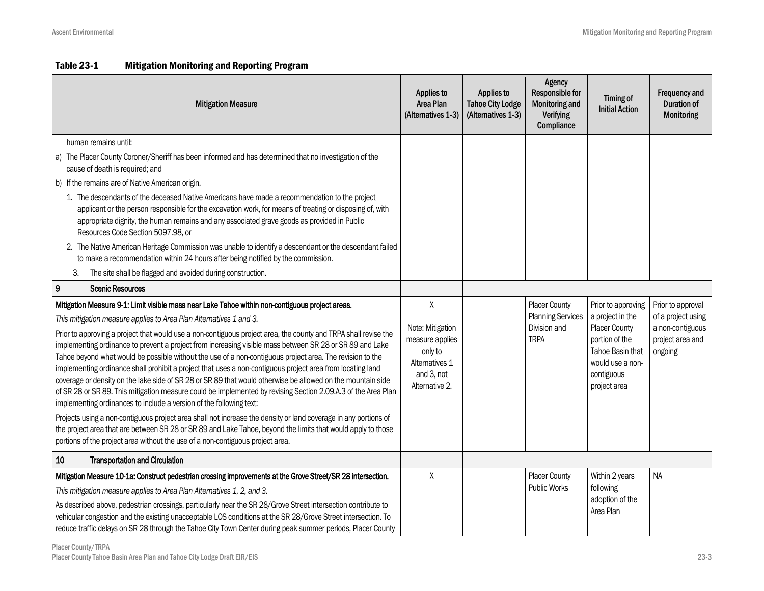|    | <b>Mitigation Measure</b>                                                                                                                                                                                                                                                                                                                                                                                                                                                                                                                                                                                                                                                                                                                                     | <b>Applies to</b><br>Area Plan<br>(Alternatives 1-3)                                             | <b>Applies to</b><br><b>Tahoe City Lodge</b><br>(Alternatives 1-3) | Agency<br><b>Responsible for</b><br>Monitoring and<br>Verifying<br>Compliance | Timing of<br><b>Initial Action</b>                                                                           | <b>Frequency and</b><br><b>Duration of</b><br><b>Monitoring</b> |
|----|---------------------------------------------------------------------------------------------------------------------------------------------------------------------------------------------------------------------------------------------------------------------------------------------------------------------------------------------------------------------------------------------------------------------------------------------------------------------------------------------------------------------------------------------------------------------------------------------------------------------------------------------------------------------------------------------------------------------------------------------------------------|--------------------------------------------------------------------------------------------------|--------------------------------------------------------------------|-------------------------------------------------------------------------------|--------------------------------------------------------------------------------------------------------------|-----------------------------------------------------------------|
|    | human remains until:                                                                                                                                                                                                                                                                                                                                                                                                                                                                                                                                                                                                                                                                                                                                          |                                                                                                  |                                                                    |                                                                               |                                                                                                              |                                                                 |
|    | a) The Placer County Coroner/Sheriff has been informed and has determined that no investigation of the<br>cause of death is required; and                                                                                                                                                                                                                                                                                                                                                                                                                                                                                                                                                                                                                     |                                                                                                  |                                                                    |                                                                               |                                                                                                              |                                                                 |
|    | b) If the remains are of Native American origin,                                                                                                                                                                                                                                                                                                                                                                                                                                                                                                                                                                                                                                                                                                              |                                                                                                  |                                                                    |                                                                               |                                                                                                              |                                                                 |
|    | 1. The descendants of the deceased Native Americans have made a recommendation to the project<br>applicant or the person responsible for the excavation work, for means of treating or disposing of, with<br>appropriate dignity, the human remains and any associated grave goods as provided in Public<br>Resources Code Section 5097.98, or                                                                                                                                                                                                                                                                                                                                                                                                                |                                                                                                  |                                                                    |                                                                               |                                                                                                              |                                                                 |
|    | 2. The Native American Heritage Commission was unable to identify a descendant or the descendant failed<br>to make a recommendation within 24 hours after being notified by the commission.                                                                                                                                                                                                                                                                                                                                                                                                                                                                                                                                                                   |                                                                                                  |                                                                    |                                                                               |                                                                                                              |                                                                 |
|    | 3.<br>The site shall be flagged and avoided during construction.                                                                                                                                                                                                                                                                                                                                                                                                                                                                                                                                                                                                                                                                                              |                                                                                                  |                                                                    |                                                                               |                                                                                                              |                                                                 |
| 9  | <b>Scenic Resources</b>                                                                                                                                                                                                                                                                                                                                                                                                                                                                                                                                                                                                                                                                                                                                       |                                                                                                  |                                                                    |                                                                               |                                                                                                              |                                                                 |
|    | Mitigation Measure 9-1: Limit visible mass near Lake Tahoe within non-contiguous project areas.                                                                                                                                                                                                                                                                                                                                                                                                                                                                                                                                                                                                                                                               | $\pmb{\chi}$                                                                                     |                                                                    | <b>Placer County</b>                                                          | Prior to approving                                                                                           | Prior to approval                                               |
|    | This mitigation measure applies to Area Plan Alternatives 1 and 3.                                                                                                                                                                                                                                                                                                                                                                                                                                                                                                                                                                                                                                                                                            |                                                                                                  |                                                                    | <b>Planning Services</b>                                                      | a project in the                                                                                             | of a project using                                              |
|    | Prior to approving a project that would use a non-contiguous project area, the county and TRPA shall revise the<br>implementing ordinance to prevent a project from increasing visible mass between SR 28 or SR 89 and Lake<br>Tahoe beyond what would be possible without the use of a non-contiguous project area. The revision to the<br>implementing ordinance shall prohibit a project that uses a non-contiguous project area from locating land<br>coverage or density on the lake side of SR 28 or SR 89 that would otherwise be allowed on the mountain side<br>of SR 28 or SR 89. This mitigation measure could be implemented by revising Section 2.09.A.3 of the Area Plan<br>implementing ordinances to include a version of the following text: | Note: Mitigation<br>measure applies<br>only to<br>Alternatives 1<br>and 3, not<br>Alternative 2. |                                                                    | Division and<br><b>TRPA</b>                                                   | <b>Placer County</b><br>portion of the<br>Tahoe Basin that<br>would use a non-<br>contiguous<br>project area | a non-contiguous<br>project area and<br>ongoing                 |
|    | Projects using a non-contiguous project area shall not increase the density or land coverage in any portions of<br>the project area that are between SR 28 or SR 89 and Lake Tahoe, beyond the limits that would apply to those<br>portions of the project area without the use of a non-contiguous project area.                                                                                                                                                                                                                                                                                                                                                                                                                                             |                                                                                                  |                                                                    |                                                                               |                                                                                                              |                                                                 |
| 10 | <b>Transportation and Circulation</b>                                                                                                                                                                                                                                                                                                                                                                                                                                                                                                                                                                                                                                                                                                                         |                                                                                                  |                                                                    |                                                                               |                                                                                                              |                                                                 |
|    | Mitigation Measure 10-1a: Construct pedestrian crossing improvements at the Grove Street/SR 28 intersection.                                                                                                                                                                                                                                                                                                                                                                                                                                                                                                                                                                                                                                                  | χ                                                                                                |                                                                    | <b>Placer County</b>                                                          | Within 2 years                                                                                               | <b>NA</b>                                                       |
|    | This mitigation measure applies to Area Plan Alternatives 1, 2, and 3.                                                                                                                                                                                                                                                                                                                                                                                                                                                                                                                                                                                                                                                                                        |                                                                                                  |                                                                    | <b>Public Works</b>                                                           | following                                                                                                    |                                                                 |
|    | As described above, pedestrian crossings, particularly near the SR 28/Grove Street intersection contribute to<br>vehicular congestion and the existing unacceptable LOS conditions at the SR 28/Grove Street intersection. To<br>reduce traffic delays on SR 28 through the Tahoe City Town Center during peak summer periods, Placer County                                                                                                                                                                                                                                                                                                                                                                                                                  |                                                                                                  |                                                                    |                                                                               | adoption of the<br>Area Plan                                                                                 |                                                                 |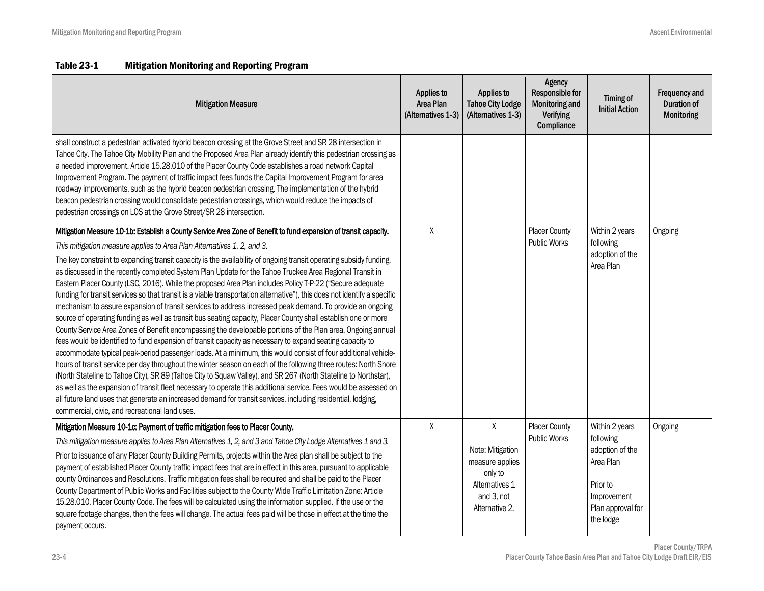| <b>Mitigation Measure</b>                                                                                                                                                                                                                                                                                                                                                                                                                                                                                                                                                                                                                                                                                                                                                                                                                                                                                                                                                                                                                                                                                                                                                                                                                                                                                                                                                                                                                                                                                                                                                                                                                                                                                                                                                      | Applies to<br>Area Plan<br>(Alternatives 1-3) | <b>Applies to</b><br><b>Tahoe City Lodge</b><br>(Alternatives 1-3)                                    | Agency<br><b>Responsible for</b><br><b>Monitoring and</b><br>Verifying<br>Compliance | Timing of<br><b>Initial Action</b>                                                                                       | Frequency and<br><b>Duration of</b><br><b>Monitoring</b> |
|--------------------------------------------------------------------------------------------------------------------------------------------------------------------------------------------------------------------------------------------------------------------------------------------------------------------------------------------------------------------------------------------------------------------------------------------------------------------------------------------------------------------------------------------------------------------------------------------------------------------------------------------------------------------------------------------------------------------------------------------------------------------------------------------------------------------------------------------------------------------------------------------------------------------------------------------------------------------------------------------------------------------------------------------------------------------------------------------------------------------------------------------------------------------------------------------------------------------------------------------------------------------------------------------------------------------------------------------------------------------------------------------------------------------------------------------------------------------------------------------------------------------------------------------------------------------------------------------------------------------------------------------------------------------------------------------------------------------------------------------------------------------------------|-----------------------------------------------|-------------------------------------------------------------------------------------------------------|--------------------------------------------------------------------------------------|--------------------------------------------------------------------------------------------------------------------------|----------------------------------------------------------|
| shall construct a pedestrian activated hybrid beacon crossing at the Grove Street and SR 28 intersection in<br>Tahoe City. The Tahoe City Mobility Plan and the Proposed Area Plan already identify this pedestrian crossing as<br>a needed improvement. Article 15.28.010 of the Placer County Code establishes a road network Capital<br>Improvement Program. The payment of traffic impact fees funds the Capital Improvement Program for area<br>roadway improvements, such as the hybrid beacon pedestrian crossing. The implementation of the hybrid<br>beacon pedestrian crossing would consolidate pedestrian crossings, which would reduce the impacts of<br>pedestrian crossings on LOS at the Grove Street/SR 28 intersection.                                                                                                                                                                                                                                                                                                                                                                                                                                                                                                                                                                                                                                                                                                                                                                                                                                                                                                                                                                                                                                      |                                               |                                                                                                       |                                                                                      |                                                                                                                          |                                                          |
| Mitigation Measure 10-1b: Establish a County Service Area Zone of Benefit to fund expansion of transit capacity.<br>This mitigation measure applies to Area Plan Alternatives 1, 2, and 3.<br>The key constraint to expanding transit capacity is the availability of ongoing transit operating subsidy funding,<br>as discussed in the recently completed System Plan Update for the Tahoe Truckee Area Regional Transit in<br>Eastern Placer County (LSC, 2016). While the proposed Area Plan includes Policy T-P-22 ("Secure adequate<br>funding for transit services so that transit is a viable transportation alternative"), this does not identify a specific<br>mechanism to assure expansion of transit services to address increased peak demand. To provide an ongoing<br>source of operating funding as well as transit bus seating capacity, Placer County shall establish one or more<br>County Service Area Zones of Benefit encompassing the developable portions of the Plan area. Ongoing annual<br>fees would be identified to fund expansion of transit capacity as necessary to expand seating capacity to<br>accommodate typical peak-period passenger loads. At a minimum, this would consist of four additional vehicle-<br>hours of transit service per day throughout the winter season on each of the following three routes: North Shore<br>(North Stateline to Tahoe City), SR 89 (Tahoe City to Squaw Valley), and SR 267 (North Stateline to Northstar),<br>as well as the expansion of transit fleet necessary to operate this additional service. Fees would be assessed on<br>all future land uses that generate an increased demand for transit services, including residential, lodging,<br>commercial, civic, and recreational land uses. | X                                             |                                                                                                       | <b>Placer County</b><br><b>Public Works</b>                                          | Within 2 years<br>following<br>adoption of the<br>Area Plan                                                              | Ongoing                                                  |
| Mitigation Measure 10-1c: Payment of traffic mitigation fees to Placer County.<br>This mitigation measure applies to Area Plan Alternatives 1, 2, and 3 and Tahoe City Lodge Alternatives 1 and 3.<br>Prior to issuance of any Placer County Building Permits, projects within the Area plan shall be subject to the<br>payment of established Placer County traffic impact fees that are in effect in this area, pursuant to applicable<br>county Ordinances and Resolutions. Traffic mitigation fees shall be required and shall be paid to the Placer<br>County Department of Public Works and Facilities subject to the County Wide Traffic Limitation Zone: Article<br>15.28.010, Placer County Code. The fees will be calculated using the information supplied. If the use or the<br>square footage changes, then the fees will change. The actual fees paid will be those in effect at the time the<br>payment occurs.                                                                                                                                                                                                                                                                                                                                                                                                                                                                                                                                                                                                                                                                                                                                                                                                                                                 | X                                             | χ<br>Note: Mitigation<br>measure applies<br>only to<br>Alternatives 1<br>and 3, not<br>Alternative 2. | <b>Placer County</b><br>Public Works                                                 | Within 2 years<br>following<br>adoption of the<br>Area Plan<br>Prior to<br>Improvement<br>Plan approval for<br>the lodge | Ongoing                                                  |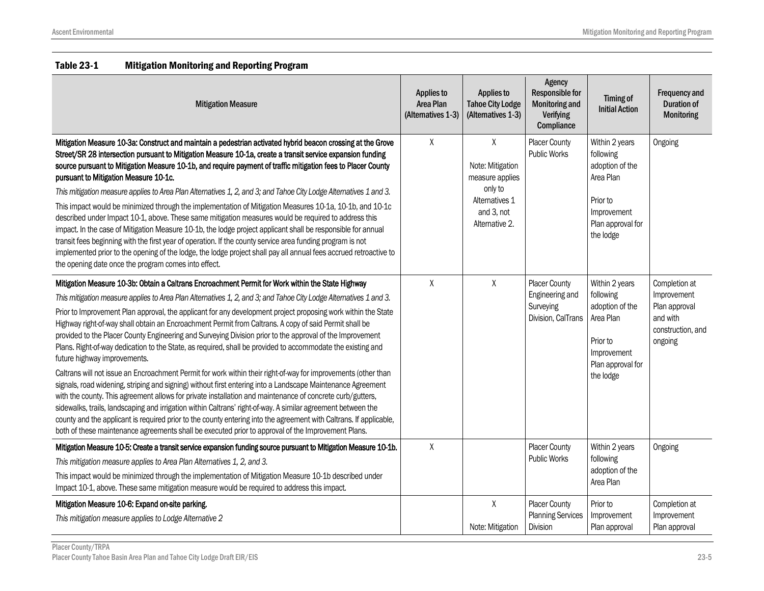| <b>Mitigation Measure</b>                                                                                                                                                                                                                                                                                                                                                                                                                                                                                                                                                                                                                                                                                                                                                                                                                                                                                                                                                                                                                                                                                                                                                                                                                                                                                                                                                                               | <b>Applies to</b><br>Area Plan<br>(Alternatives 1-3) | Applies to<br><b>Tahoe City Lodge</b><br>(Alternatives 1-3)                                                      | Agency<br><b>Responsible for</b><br><b>Monitoring and</b><br>Verifying<br>Compliance | <b>Timing of</b><br><b>Initial Action</b>                                                                                | <b>Frequency and</b><br><b>Duration of</b><br><b>Monitoring</b>                           |
|---------------------------------------------------------------------------------------------------------------------------------------------------------------------------------------------------------------------------------------------------------------------------------------------------------------------------------------------------------------------------------------------------------------------------------------------------------------------------------------------------------------------------------------------------------------------------------------------------------------------------------------------------------------------------------------------------------------------------------------------------------------------------------------------------------------------------------------------------------------------------------------------------------------------------------------------------------------------------------------------------------------------------------------------------------------------------------------------------------------------------------------------------------------------------------------------------------------------------------------------------------------------------------------------------------------------------------------------------------------------------------------------------------|------------------------------------------------------|------------------------------------------------------------------------------------------------------------------|--------------------------------------------------------------------------------------|--------------------------------------------------------------------------------------------------------------------------|-------------------------------------------------------------------------------------------|
| Mitigation Measure 10-3a: Construct and maintain a pedestrian activated hybrid beacon crossing at the Grove<br>Street/SR 28 intersection pursuant to Mitigation Measure 10-1a, create a transit service expansion funding<br>source pursuant to Mitigation Measure 10-1b, and require payment of traffic mitigation fees to Placer County<br>pursuant to Mitigation Measure 10-1c.<br>This mitigation measure applies to Area Plan Alternatives 1, 2, and 3; and Tahoe City Lodge Alternatives 1 and 3.<br>This impact would be minimized through the implementation of Mitigation Measures 10-1a, 10-1b, and 10-1c<br>described under Impact 10-1, above. These same mitigation measures would be required to address this<br>impact. In the case of Mitigation Measure 10-1b, the lodge project applicant shall be responsible for annual<br>transit fees beginning with the first year of operation. If the county service area funding program is not<br>implemented prior to the opening of the lodge, the lodge project shall pay all annual fees accrued retroactive to<br>the opening date once the program comes into effect.                                                                                                                                                                                                                                                                  | $\mathsf{X}$                                         | $\mathsf{X}$<br>Note: Mitigation<br>measure applies<br>only to<br>Alternatives 1<br>and 3, not<br>Alternative 2. | <b>Placer County</b><br><b>Public Works</b>                                          | Within 2 years<br>following<br>adoption of the<br>Area Plan<br>Prior to<br>Improvement<br>Plan approval for<br>the lodge | Ongoing                                                                                   |
| Mitigation Measure 10-3b: Obtain a Caltrans Encroachment Permit for Work within the State Highway<br>This mitigation measure applies to Area Plan Alternatives 1, 2, and 3; and Tahoe City Lodge Alternatives 1 and 3.<br>Prior to Improvement Plan approval, the applicant for any development project proposing work within the State<br>Highway right-of-way shall obtain an Encroachment Permit from Caltrans. A copy of said Permit shall be<br>provided to the Placer County Engineering and Surveying Division prior to the approval of the Improvement<br>Plans. Right-of-way dedication to the State, as required, shall be provided to accommodate the existing and<br>future highway improvements.<br>Caltrans will not issue an Encroachment Permit for work within their right-of-way for improvements (other than<br>signals, road widening, striping and signing) without first entering into a Landscape Maintenance Agreement<br>with the county. This agreement allows for private installation and maintenance of concrete curb/gutters,<br>sidewalks, trails, landscaping and irrigation within Caltrans' right-of-way. A similar agreement between the<br>county and the applicant is required prior to the county entering into the agreement with Caltrans. If applicable,<br>both of these maintenance agreements shall be executed prior to approval of the Improvement Plans. | X                                                    | X                                                                                                                | <b>Placer County</b><br>Engineering and<br>Surveying<br>Division, CalTrans           | Within 2 years<br>following<br>adoption of the<br>Area Plan<br>Prior to<br>Improvement<br>Plan approval for<br>the lodge | Completion at<br>Improvement<br>Plan approval<br>and with<br>construction, and<br>ongoing |
| Mitigation Measure 10-5: Create a transit service expansion funding source pursuant to Mitigation Measure 10-1b.<br>This mitigation measure applies to Area Plan Alternatives 1, 2, and 3.<br>This impact would be minimized through the implementation of Mitigation Measure 10-1b described under<br>Impact 10-1, above. These same mitigation measure would be required to address this impact.                                                                                                                                                                                                                                                                                                                                                                                                                                                                                                                                                                                                                                                                                                                                                                                                                                                                                                                                                                                                      | $\mathsf{X}$                                         |                                                                                                                  | <b>Placer County</b><br><b>Public Works</b>                                          | Within 2 years<br>following<br>adoption of the<br>Area Plan                                                              | Ongoing                                                                                   |
| Mitigation Measure 10-6: Expand on-site parking.<br>This mitigation measure applies to Lodge Alternative 2                                                                                                                                                                                                                                                                                                                                                                                                                                                                                                                                                                                                                                                                                                                                                                                                                                                                                                                                                                                                                                                                                                                                                                                                                                                                                              |                                                      | $\pmb{\chi}$<br>Note: Mitigation                                                                                 | <b>Placer County</b><br><b>Planning Services</b><br>Division                         | Prior to<br>Improvement<br>Plan approval                                                                                 | Completion at<br>Improvement<br>Plan approval                                             |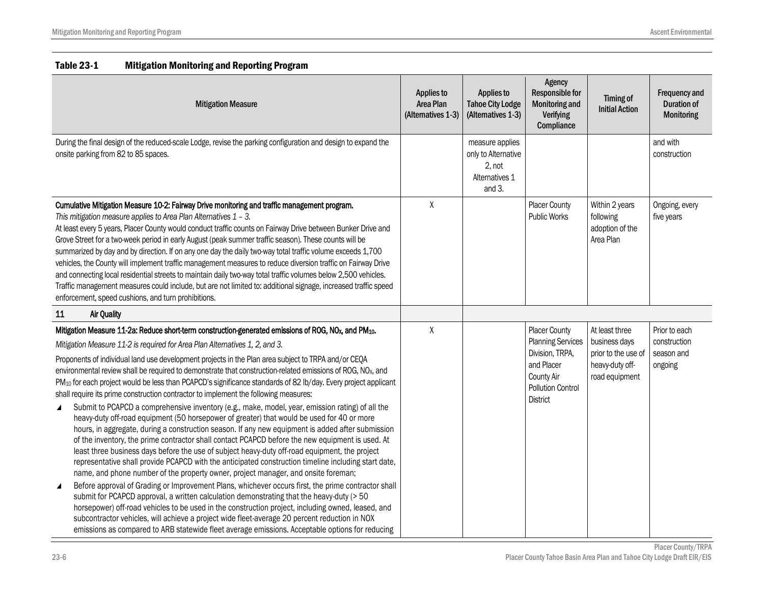| <b>Mitigation Measure</b>                                                                                                                                                                                                                                                                                                                                                                                                                                                                                                                                                                                                                                                                                                                                                                                                                                                                                                                                                                                                                                                                                                                                                                                                                                                                                                                                                                                                                                                                                                                                                                                                                                                                                                                                                                                                                                                                                              | Applies to<br>Area Plan<br>(Alternatives 1-3) | <b>Applies to</b><br><b>Tahoe City Lodge</b><br>(Alternatives 1-3)           | Agency<br><b>Responsible for</b><br><b>Monitoring and</b><br>Verifying<br>Compliance                                                                  | <b>Timing of</b><br><b>Initial Action</b>                                                   | <b>Frequency and</b><br><b>Duration of</b><br><b>Monitoring</b> |
|------------------------------------------------------------------------------------------------------------------------------------------------------------------------------------------------------------------------------------------------------------------------------------------------------------------------------------------------------------------------------------------------------------------------------------------------------------------------------------------------------------------------------------------------------------------------------------------------------------------------------------------------------------------------------------------------------------------------------------------------------------------------------------------------------------------------------------------------------------------------------------------------------------------------------------------------------------------------------------------------------------------------------------------------------------------------------------------------------------------------------------------------------------------------------------------------------------------------------------------------------------------------------------------------------------------------------------------------------------------------------------------------------------------------------------------------------------------------------------------------------------------------------------------------------------------------------------------------------------------------------------------------------------------------------------------------------------------------------------------------------------------------------------------------------------------------------------------------------------------------------------------------------------------------|-----------------------------------------------|------------------------------------------------------------------------------|-------------------------------------------------------------------------------------------------------------------------------------------------------|---------------------------------------------------------------------------------------------|-----------------------------------------------------------------|
| During the final design of the reduced-scale Lodge, revise the parking configuration and design to expand the<br>onsite parking from 82 to 85 spaces.                                                                                                                                                                                                                                                                                                                                                                                                                                                                                                                                                                                                                                                                                                                                                                                                                                                                                                                                                                                                                                                                                                                                                                                                                                                                                                                                                                                                                                                                                                                                                                                                                                                                                                                                                                  |                                               | measure applies<br>only to Alternative<br>2, not<br>Alternatives 1<br>and 3. |                                                                                                                                                       |                                                                                             | and with<br>construction                                        |
| Cumulative Mitigation Measure 10-2: Fairway Drive monitoring and traffic management program.<br>This mitigation measure applies to Area Plan Alternatives $1 - 3$ .<br>At least every 5 years, Placer County would conduct traffic counts on Fairway Drive between Bunker Drive and<br>Grove Street for a two-week period in early August (peak summer traffic season). These counts will be<br>summarized by day and by direction. If on any one day the daily two-way total traffic volume exceeds 1,700<br>vehicles, the County will implement traffic management measures to reduce diversion traffic on Fairway Drive<br>and connecting local residential streets to maintain daily two-way total traffic volumes below 2,500 vehicles.<br>Traffic management measures could include, but are not limited to: additional signage, increased traffic speed<br>enforcement, speed cushions, and turn prohibitions.<br>11<br><b>Air Quality</b>                                                                                                                                                                                                                                                                                                                                                                                                                                                                                                                                                                                                                                                                                                                                                                                                                                                                                                                                                                      | χ                                             |                                                                              | <b>Placer County</b><br><b>Public Works</b>                                                                                                           | Within 2 years<br>following<br>adoption of the<br>Area Plan                                 | Ongoing, every<br>five years                                    |
|                                                                                                                                                                                                                                                                                                                                                                                                                                                                                                                                                                                                                                                                                                                                                                                                                                                                                                                                                                                                                                                                                                                                                                                                                                                                                                                                                                                                                                                                                                                                                                                                                                                                                                                                                                                                                                                                                                                        |                                               |                                                                              |                                                                                                                                                       |                                                                                             |                                                                 |
| Mitigation Measure 11-2a: Reduce short-term construction-generated emissions of ROG, NO <sub>X</sub> , and PM <sub>10</sub> .<br>Mitigation Measure 11-2 is required for Area Plan Alternatives 1, 2, and 3.<br>Proponents of individual land use development projects in the Plan area subject to TRPA and/or CEQA<br>environmental review shall be required to demonstrate that construction-related emissions of ROG, NO <sub>x</sub> , and<br>PM <sub>10</sub> for each project would be less than PCAPCD's significance standards of 82 lb/day. Every project applicant<br>shall require its prime construction contractor to implement the following measures:<br>Submit to PCAPCD a comprehensive inventory (e.g., make, model, year, emission rating) of all the<br>$\blacktriangle$<br>heavy-duty off-road equipment (50 horsepower of greater) that would be used for 40 or more<br>hours, in aggregate, during a construction season. If any new equipment is added after submission<br>of the inventory, the prime contractor shall contact PCAPCD before the new equipment is used. At<br>least three business days before the use of subject heavy-duty off-road equipment, the project<br>representative shall provide PCAPCD with the anticipated construction timeline including start date,<br>name, and phone number of the property owner, project manager, and onsite foreman;<br>Before approval of Grading or Improvement Plans, whichever occurs first, the prime contractor shall<br>◢<br>submit for PCAPCD approval, a written calculation demonstrating that the heavy-duty (> 50<br>horsepower) off-road vehicles to be used in the construction project, including owned, leased, and<br>subcontractor vehicles, will achieve a project wide fleet-average 20 percent reduction in NOX<br>emissions as compared to ARB statewide fleet average emissions. Acceptable options for reducing | Χ                                             |                                                                              | <b>Placer County</b><br><b>Planning Services</b><br>Division, TRPA,<br>and Placer<br><b>County Air</b><br><b>Pollution Control</b><br><b>District</b> | At least three<br>business days<br>prior to the use of<br>heavy-duty off-<br>road equipment | Prior to each<br>construction<br>season and<br>ongoing          |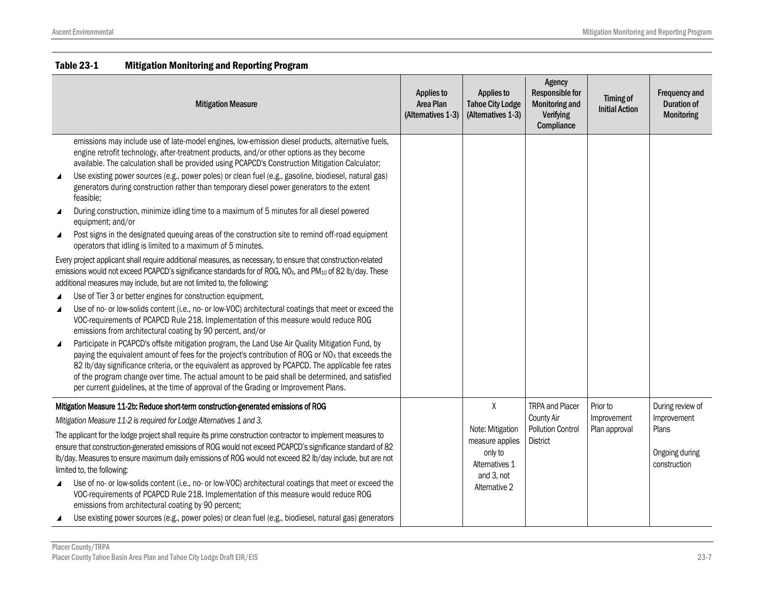| <b>Mitigation Measure</b>                                                                                                                                                                                                                                                                                                                                                                                                                                                                                                                                                                                                                                                                                                                                                                                                                                                                                                                                                                                                                                                                                                                                                                                                                                                                                                                                                                                                                                                                                                                                                                                                                                                                                                                                                                                                                                                                                                                                                                                                                       | Applies to<br>Area Plan<br>(Alternatives 1-3) | <b>Applies to</b><br><b>Tahoe City Lodge</b><br>(Alternatives 1-3)                                              | Agency<br><b>Responsible for</b><br><b>Monitoring and</b><br>Verifying<br>Compliance | Timing of<br><b>Initial Action</b>       | <b>Frequency and</b><br><b>Duration of</b><br>Monitoring                   |
|-------------------------------------------------------------------------------------------------------------------------------------------------------------------------------------------------------------------------------------------------------------------------------------------------------------------------------------------------------------------------------------------------------------------------------------------------------------------------------------------------------------------------------------------------------------------------------------------------------------------------------------------------------------------------------------------------------------------------------------------------------------------------------------------------------------------------------------------------------------------------------------------------------------------------------------------------------------------------------------------------------------------------------------------------------------------------------------------------------------------------------------------------------------------------------------------------------------------------------------------------------------------------------------------------------------------------------------------------------------------------------------------------------------------------------------------------------------------------------------------------------------------------------------------------------------------------------------------------------------------------------------------------------------------------------------------------------------------------------------------------------------------------------------------------------------------------------------------------------------------------------------------------------------------------------------------------------------------------------------------------------------------------------------------------|-----------------------------------------------|-----------------------------------------------------------------------------------------------------------------|--------------------------------------------------------------------------------------|------------------------------------------|----------------------------------------------------------------------------|
| emissions may include use of late-model engines, low-emission diesel products, alternative fuels,<br>engine retrofit technology, after-treatment products, and/or other options as they become<br>available. The calculation shall be provided using PCAPCD's Construction Mitigation Calculator;<br>Use existing power sources (e.g., power poles) or clean fuel (e.g., gasoline, biodiesel, natural gas)<br>◢<br>generators during construction rather than temporary diesel power generators to the extent<br>feasible:<br>During construction, minimize idling time to a maximum of 5 minutes for all diesel powered<br>◢<br>equipment; and/or<br>Post signs in the designated queuing areas of the construction site to remind off-road equipment<br>◢<br>operators that idling is limited to a maximum of 5 minutes.<br>Every project applicant shall require additional measures, as necessary, to ensure that construction-related<br>emissions would not exceed PCAPCD's significance standards for of ROG, NO <sub>x</sub> , and PM <sub>10</sub> of 82 lb/day. These<br>additional measures may include, but are not limited to, the following:<br>Use of Tier 3 or better engines for construction equipment,<br>◢<br>Use of no- or low-solids content (i.e., no- or low-VOC) architectural coatings that meet or exceed the<br>$\blacktriangle$<br>VOC-requirements of PCAPCD Rule 218. Implementation of this measure would reduce ROG<br>emissions from architectural coating by 90 percent, and/or<br>Participate in PCAPCD's offsite mitigation program, the Land Use Air Quality Mitigation Fund, by<br>◢<br>paying the equivalent amount of fees for the project's contribution of ROG or NO <sub>x</sub> that exceeds the<br>82 lb/day significance criteria, or the equivalent as approved by PCAPCD. The applicable fee rates<br>of the program change over time. The actual amount to be paid shall be determined, and satisfied<br>per current guidelines, at the time of approval of the Grading or Improvement Plans. |                                               |                                                                                                                 |                                                                                      |                                          |                                                                            |
| Mitigation Measure 11-2b: Reduce short-term construction-generated emissions of ROG<br>Mitigation Measure 11-2 is required for Lodge Alternatives 1 and 3.<br>The applicant for the lodge project shall require its prime construction contractor to implement measures to<br>ensure that construction-generated emissions of ROG would not exceed PCAPCD's significance standard of 82<br>Ib/day. Measures to ensure maximum daily emissions of ROG would not exceed 82 lb/day include, but are not<br>limited to, the following:<br>Use of no- or low-solids content (i.e., no- or low-VOC) architectural coatings that meet or exceed the<br>$\blacktriangle$<br>VOC-requirements of PCAPCD Rule 218. Implementation of this measure would reduce ROG<br>emissions from architectural coating by 90 percent;<br>Use existing power sources (e.g., power poles) or clean fuel (e.g., biodiesel, natural gas) generators<br>◢                                                                                                                                                                                                                                                                                                                                                                                                                                                                                                                                                                                                                                                                                                                                                                                                                                                                                                                                                                                                                                                                                                                  |                                               | $\mathsf{X}$<br>Note: Mitigation<br>measure applies<br>only to<br>Alternatives 1<br>and 3, not<br>Alternative 2 | <b>TRPA and Placer</b><br>County Air<br><b>Pollution Control</b><br><b>District</b>  | Prior to<br>Improvement<br>Plan approval | During review of<br>Improvement<br>Plans<br>Ongoing during<br>construction |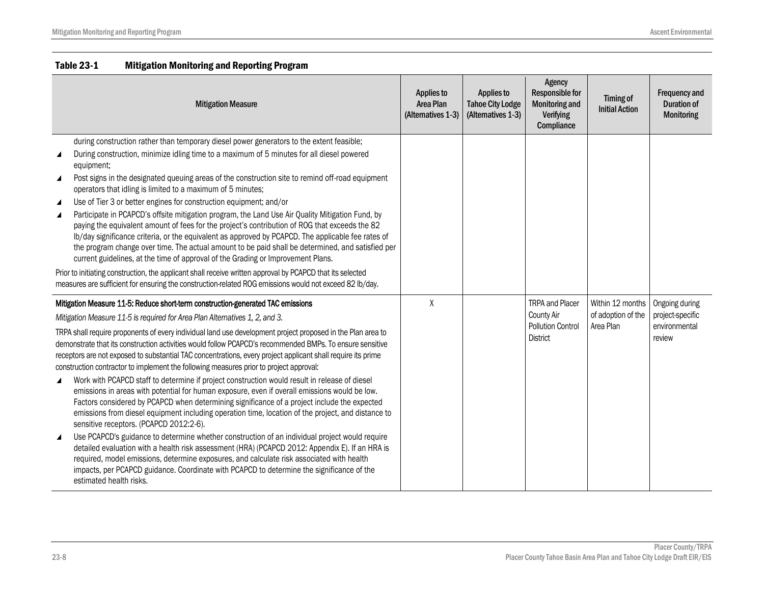|                  | <b>Mitigation Measure</b>                                                                                                                                                                                                                                                                                                                                                                                                                                                                         | <b>Applies to</b><br>Area Plan<br>(Alternatives 1-3) | Applies to<br><b>Tahoe City Lodge</b><br>(Alternatives 1-3) | Agency<br><b>Responsible for</b><br><b>Monitoring and</b><br><b>Verifying</b><br>Compliance | <b>Timing of</b><br><b>Initial Action</b> | <b>Frequency and</b><br><b>Duration of</b><br><b>Monitoring</b> |
|------------------|---------------------------------------------------------------------------------------------------------------------------------------------------------------------------------------------------------------------------------------------------------------------------------------------------------------------------------------------------------------------------------------------------------------------------------------------------------------------------------------------------|------------------------------------------------------|-------------------------------------------------------------|---------------------------------------------------------------------------------------------|-------------------------------------------|-----------------------------------------------------------------|
|                  | during construction rather than temporary diesel power generators to the extent feasible;                                                                                                                                                                                                                                                                                                                                                                                                         |                                                      |                                                             |                                                                                             |                                           |                                                                 |
|                  | During construction, minimize idling time to a maximum of 5 minutes for all diesel powered<br>equipment;                                                                                                                                                                                                                                                                                                                                                                                          |                                                      |                                                             |                                                                                             |                                           |                                                                 |
| $\blacktriangle$ | Post signs in the designated queuing areas of the construction site to remind off-road equipment<br>operators that idling is limited to a maximum of 5 minutes;                                                                                                                                                                                                                                                                                                                                   |                                                      |                                                             |                                                                                             |                                           |                                                                 |
| ◢                | Use of Tier 3 or better engines for construction equipment; and/or                                                                                                                                                                                                                                                                                                                                                                                                                                |                                                      |                                                             |                                                                                             |                                           |                                                                 |
| ◢                | Participate in PCAPCD's offsite mitigation program, the Land Use Air Quality Mitigation Fund, by<br>paying the equivalent amount of fees for the project's contribution of ROG that exceeds the 82<br>Ib/day significance criteria, or the equivalent as approved by PCAPCD. The applicable fee rates of<br>the program change over time. The actual amount to be paid shall be determined, and satisfied per<br>current guidelines, at the time of approval of the Grading or Improvement Plans. |                                                      |                                                             |                                                                                             |                                           |                                                                 |
|                  | Prior to initiating construction, the applicant shall receive written approval by PCAPCD that its selected<br>measures are sufficient for ensuring the construction-related ROG emissions would not exceed 82 lb/day.                                                                                                                                                                                                                                                                             |                                                      |                                                             |                                                                                             |                                           |                                                                 |
|                  | Mitigation Measure 11-5: Reduce short-term construction-generated TAC emissions                                                                                                                                                                                                                                                                                                                                                                                                                   | χ                                                    |                                                             | <b>TRPA and Placer</b>                                                                      | Within 12 months                          | Ongoing during                                                  |
|                  | Mitigation Measure 11-5 is required for Area Plan Alternatives 1, 2, and 3.                                                                                                                                                                                                                                                                                                                                                                                                                       |                                                      |                                                             | County Air                                                                                  | of adoption of the                        | project-specific                                                |
|                  | TRPA shall require proponents of every individual land use development project proposed in the Plan area to<br>demonstrate that its construction activities would follow PCAPCD's recommended BMPs. To ensure sensitive<br>receptors are not exposed to substantial TAC concentrations, every project applicant shall require its prime<br>construction contractor to implement the following measures prior to project approval:                                                                 |                                                      |                                                             | <b>Pollution Control</b><br><b>District</b>                                                 | Area Plan                                 | environmental<br>review                                         |
| $\blacktriangle$ | Work with PCAPCD staff to determine if project construction would result in release of diesel<br>emissions in areas with potential for human exposure, even if overall emissions would be low.<br>Factors considered by PCAPCD when determining significance of a project include the expected<br>emissions from diesel equipment including operation time, location of the project, and distance to<br>sensitive receptors. (PCAPCD 2012:2-6).                                                   |                                                      |                                                             |                                                                                             |                                           |                                                                 |
| ◢                | Use PCAPCD's guidance to determine whether construction of an individual project would require<br>detailed evaluation with a health risk assessment (HRA) (PCAPCD 2012: Appendix E). If an HRA is<br>required, model emissions, determine exposures, and calculate risk associated with health<br>impacts, per PCAPCD guidance. Coordinate with PCAPCD to determine the significance of the<br>estimated health risks.                                                                            |                                                      |                                                             |                                                                                             |                                           |                                                                 |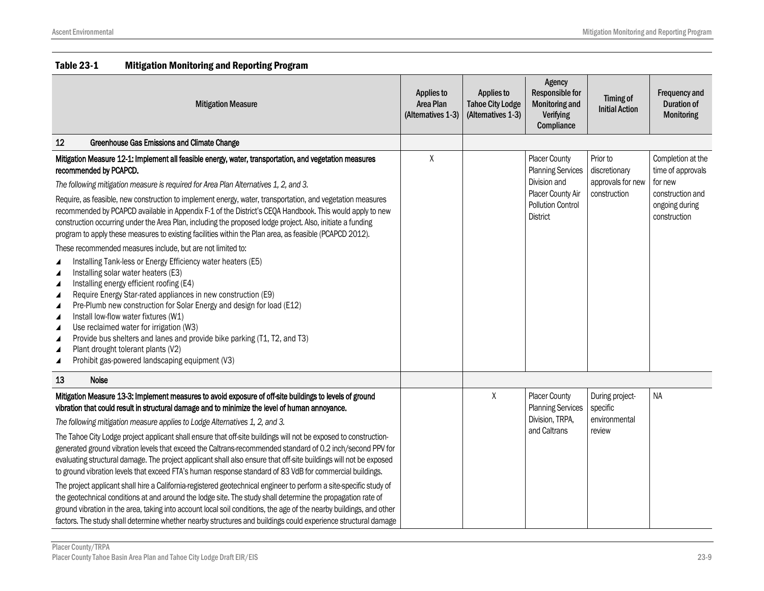| <b>Mitigation Measure</b>                                                                                                                                                                                                                                                                                                                                                                                                                                                                                                                                                                                                                                                                                                                                                                                                                                                                                                                                                                                                                                                                                                                                                                                                                | <b>Applies to</b><br>Area Plan<br>(Alternatives 1-3) | <b>Applies to</b><br><b>Tahoe City Lodge</b><br>(Alternatives 1-3) | Agency<br><b>Responsible for</b><br>Monitoring and<br>Verifying<br>Compliance       | Timing of<br><b>Initial Action</b>                     | <b>Frequency and</b><br><b>Duration of</b><br><b>Monitoring</b> |
|------------------------------------------------------------------------------------------------------------------------------------------------------------------------------------------------------------------------------------------------------------------------------------------------------------------------------------------------------------------------------------------------------------------------------------------------------------------------------------------------------------------------------------------------------------------------------------------------------------------------------------------------------------------------------------------------------------------------------------------------------------------------------------------------------------------------------------------------------------------------------------------------------------------------------------------------------------------------------------------------------------------------------------------------------------------------------------------------------------------------------------------------------------------------------------------------------------------------------------------|------------------------------------------------------|--------------------------------------------------------------------|-------------------------------------------------------------------------------------|--------------------------------------------------------|-----------------------------------------------------------------|
| 12<br><b>Greenhouse Gas Emissions and Climate Change</b>                                                                                                                                                                                                                                                                                                                                                                                                                                                                                                                                                                                                                                                                                                                                                                                                                                                                                                                                                                                                                                                                                                                                                                                 |                                                      |                                                                    |                                                                                     |                                                        |                                                                 |
| Mitigation Measure 12-1: Implement all feasible energy, water, transportation, and vegetation measures<br>recommended by PCAPCD.                                                                                                                                                                                                                                                                                                                                                                                                                                                                                                                                                                                                                                                                                                                                                                                                                                                                                                                                                                                                                                                                                                         | $\pmb{\chi}$                                         |                                                                    | <b>Placer County</b><br><b>Planning Services</b>                                    | Prior to<br>discretionary                              | Completion at the<br>time of approvals                          |
| The following mitigation measure is required for Area Plan Alternatives 1, 2, and 3.                                                                                                                                                                                                                                                                                                                                                                                                                                                                                                                                                                                                                                                                                                                                                                                                                                                                                                                                                                                                                                                                                                                                                     |                                                      |                                                                    | Division and                                                                        | approvals for new                                      | for new                                                         |
| Require, as feasible, new construction to implement energy, water, transportation, and vegetation measures<br>recommended by PCAPCD available in Appendix F-1 of the District's CEQA Handbook. This would apply to new<br>construction occurring under the Area Plan, including the proposed lodge project. Also, initiate a funding<br>program to apply these measures to existing facilities within the Plan area, as feasible (PCAPCD 2012).                                                                                                                                                                                                                                                                                                                                                                                                                                                                                                                                                                                                                                                                                                                                                                                          |                                                      |                                                                    | Placer County Air<br><b>Pollution Control</b><br>District                           | construction                                           | construction and<br>ongoing during<br>construction              |
| These recommended measures include, but are not limited to:                                                                                                                                                                                                                                                                                                                                                                                                                                                                                                                                                                                                                                                                                                                                                                                                                                                                                                                                                                                                                                                                                                                                                                              |                                                      |                                                                    |                                                                                     |                                                        |                                                                 |
| Installing Tank-less or Energy Efficiency water heaters (E5)<br>Ζ<br>Installing solar water heaters (E3)<br>◢<br>Installing energy efficient roofing (E4)<br>◢<br>Require Energy Star-rated appliances in new construction (E9)<br>◢<br>Pre-Plumb new construction for Solar Energy and design for load (E12)<br>◢<br>Install low-flow water fixtures (W1)<br>◢<br>Use reclaimed water for irrigation (W3)<br>◢<br>Provide bus shelters and lanes and provide bike parking (T1, T2, and T3)<br>Z<br>Plant drought tolerant plants (V2)<br>$\blacktriangle$<br>Prohibit gas-powered landscaping equipment (V3)<br>Z                                                                                                                                                                                                                                                                                                                                                                                                                                                                                                                                                                                                                       |                                                      |                                                                    |                                                                                     |                                                        |                                                                 |
| 13<br><b>Noise</b>                                                                                                                                                                                                                                                                                                                                                                                                                                                                                                                                                                                                                                                                                                                                                                                                                                                                                                                                                                                                                                                                                                                                                                                                                       |                                                      |                                                                    |                                                                                     |                                                        |                                                                 |
| Mitigation Measure 13-3: Implement measures to avoid exposure of off-site buildings to levels of ground<br>vibration that could result in structural damage and to minimize the level of human annoyance.<br>The following mitigation measure applies to Lodge Alternatives 1, 2, and 3.<br>The Tahoe City Lodge project applicant shall ensure that off-site buildings will not be exposed to construction-<br>generated ground vibration levels that exceed the Caltrans-recommended standard of 0.2 inch/second PPV for<br>evaluating structural damage. The project applicant shall also ensure that off-site buildings will not be exposed<br>to ground vibration levels that exceed FTA's human response standard of 83 VdB for commercial buildings.<br>The project applicant shall hire a California-registered geotechnical engineer to perform a site-specific study of<br>the geotechnical conditions at and around the lodge site. The study shall determine the propagation rate of<br>ground vibration in the area, taking into account local soil conditions, the age of the nearby buildings, and other<br>factors. The study shall determine whether nearby structures and buildings could experience structural damage |                                                      | X                                                                  | <b>Placer County</b><br><b>Planning Services</b><br>Division, TRPA,<br>and Caltrans | During project-<br>specific<br>environmental<br>review | <b>NA</b>                                                       |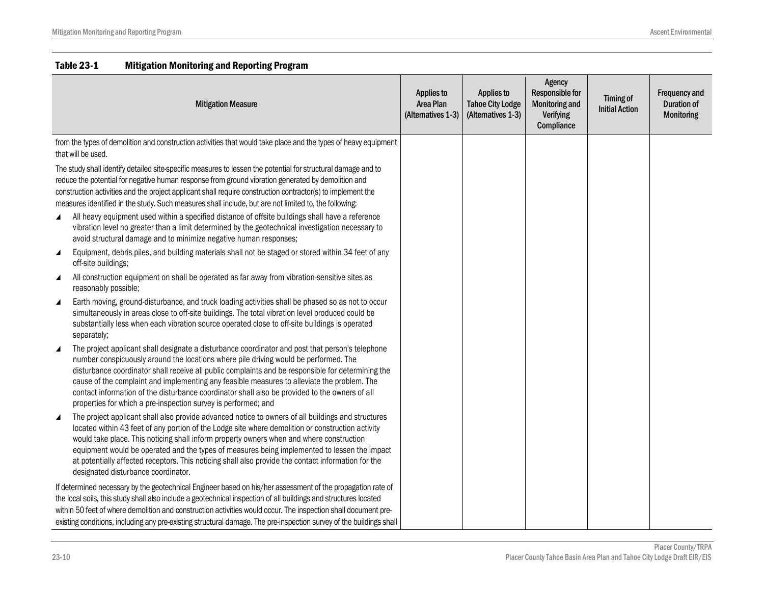| <b>Mitigation Measure</b>                                                                                                                                                                                                                                                                                                                                                                                                                                                                                                                                                                                                                                                                                                      | <b>Applies to</b><br>Area Plan<br>(Alternatives 1-3) | <b>Applies to</b><br><b>Tahoe City Lodge</b><br>(Alternatives 1-3) | Agency<br><b>Responsible for</b><br>Monitoring and<br>Verifying<br>Compliance | <b>Timing of</b><br><b>Initial Action</b> | <b>Frequency and</b><br><b>Duration of</b><br><b>Monitoring</b> |
|--------------------------------------------------------------------------------------------------------------------------------------------------------------------------------------------------------------------------------------------------------------------------------------------------------------------------------------------------------------------------------------------------------------------------------------------------------------------------------------------------------------------------------------------------------------------------------------------------------------------------------------------------------------------------------------------------------------------------------|------------------------------------------------------|--------------------------------------------------------------------|-------------------------------------------------------------------------------|-------------------------------------------|-----------------------------------------------------------------|
| from the types of demolition and construction activities that would take place and the types of heavy equipment<br>that will be used.                                                                                                                                                                                                                                                                                                                                                                                                                                                                                                                                                                                          |                                                      |                                                                    |                                                                               |                                           |                                                                 |
| The study shall identify detailed site-specific measures to lessen the potential for structural damage and to<br>reduce the potential for negative human response from ground vibration generated by demolition and<br>construction activities and the project applicant shall require construction contractor(s) to implement the<br>measures identified in the study. Such measures shall include, but are not limited to, the following:<br>All heavy equipment used within a specified distance of offsite buildings shall have a reference<br>◢<br>vibration level no greater than a limit determined by the geotechnical investigation necessary to<br>avoid structural damage and to minimize negative human responses; |                                                      |                                                                    |                                                                               |                                           |                                                                 |
| Equipment, debris piles, and building materials shall not be staged or stored within 34 feet of any<br>◢<br>off-site buildings;                                                                                                                                                                                                                                                                                                                                                                                                                                                                                                                                                                                                |                                                      |                                                                    |                                                                               |                                           |                                                                 |
| All construction equipment on shall be operated as far away from vibration-sensitive sites as<br>◢<br>reasonably possible;                                                                                                                                                                                                                                                                                                                                                                                                                                                                                                                                                                                                     |                                                      |                                                                    |                                                                               |                                           |                                                                 |
| Earth moving, ground-disturbance, and truck loading activities shall be phased so as not to occur<br>◢<br>simultaneously in areas close to off-site buildings. The total vibration level produced could be<br>substantially less when each vibration source operated close to off-site buildings is operated<br>separately;                                                                                                                                                                                                                                                                                                                                                                                                    |                                                      |                                                                    |                                                                               |                                           |                                                                 |
| The project applicant shall designate a disturbance coordinator and post that person's telephone<br>◢<br>number conspicuously around the locations where pile driving would be performed. The<br>disturbance coordinator shall receive all public complaints and be responsible for determining the<br>cause of the complaint and implementing any feasible measures to alleviate the problem. The<br>contact information of the disturbance coordinator shall also be provided to the owners of all<br>properties for which a pre-inspection survey is performed; and                                                                                                                                                         |                                                      |                                                                    |                                                                               |                                           |                                                                 |
| The project applicant shall also provide advanced notice to owners of all buildings and structures<br>located within 43 feet of any portion of the Lodge site where demolition or construction activity<br>would take place. This noticing shall inform property owners when and where construction<br>equipment would be operated and the types of measures being implemented to lessen the impact<br>at potentially affected receptors. This noticing shall also provide the contact information for the<br>designated disturbance coordinator.                                                                                                                                                                              |                                                      |                                                                    |                                                                               |                                           |                                                                 |
| If determined necessary by the geotechnical Engineer based on his/her assessment of the propagation rate of<br>the local soils, this study shall also include a geotechnical inspection of all buildings and structures located<br>within 50 feet of where demolition and construction activities would occur. The inspection shall document pre-<br>existing conditions, including any pre-existing structural damage. The pre-inspection survey of the buildings shall                                                                                                                                                                                                                                                       |                                                      |                                                                    |                                                                               |                                           |                                                                 |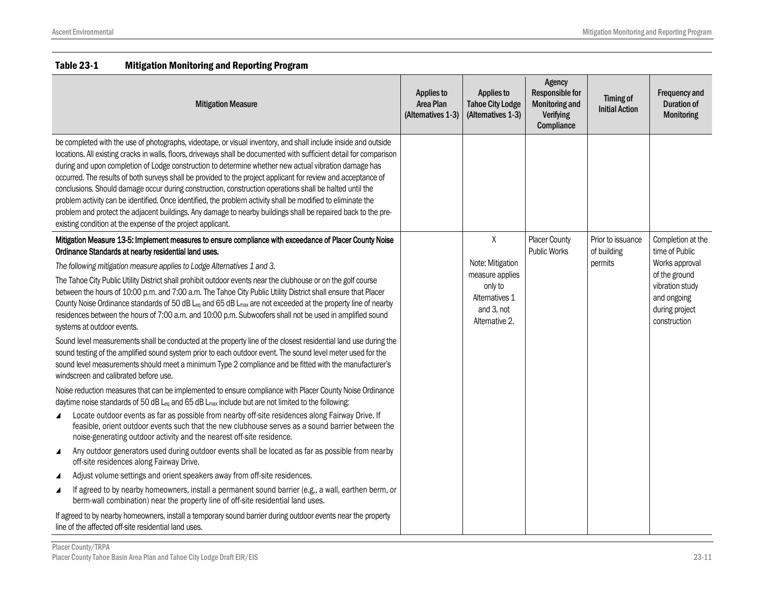| <b>Mitigation Measure</b>                                                                                                                                                                                                                                                                                                                                                                                                                                                                                                                                                                                                                                                                                                                                                                                                                                                   | Applies to<br>Area Plan<br>(Alternatives 1-3) | <b>Applies to</b><br><b>Tahoe City Lodge</b><br>(Alternatives 1-3)           | Agency<br><b>Responsible for</b><br><b>Monitoring and</b><br>Verifying<br>Compliance | Timing of<br><b>Initial Action</b>          | <b>Frequency and</b><br><b>Duration of</b><br><b>Monitoring</b> |                                                                  |
|-----------------------------------------------------------------------------------------------------------------------------------------------------------------------------------------------------------------------------------------------------------------------------------------------------------------------------------------------------------------------------------------------------------------------------------------------------------------------------------------------------------------------------------------------------------------------------------------------------------------------------------------------------------------------------------------------------------------------------------------------------------------------------------------------------------------------------------------------------------------------------|-----------------------------------------------|------------------------------------------------------------------------------|--------------------------------------------------------------------------------------|---------------------------------------------|-----------------------------------------------------------------|------------------------------------------------------------------|
| be completed with the use of photographs, videotape, or visual inventory, and shall include inside and outside<br>locations. All existing cracks in walls, floors, driveways shall be documented with sufficient detail for comparison<br>during and upon completion of Lodge construction to determine whether new actual vibration damage has<br>occurred. The results of both surveys shall be provided to the project applicant for review and acceptance of<br>conclusions. Should damage occur during construction, construction operations shall be halted until the<br>problem activity can be identified. Once identified, the problem activity shall be modified to eliminate the<br>problem and protect the adjacent buildings. Any damage to nearby buildings shall be repaired back to the pre-<br>existing condition at the expense of the project applicant. |                                               |                                                                              |                                                                                      |                                             |                                                                 |                                                                  |
| Mitigation Measure 13-5: Implement measures to ensure compliance with exceedance of Placer County Noise<br>Ordinance Standards at nearby residential land uses.                                                                                                                                                                                                                                                                                                                                                                                                                                                                                                                                                                                                                                                                                                             |                                               | X                                                                            |                                                                                      | <b>Placer County</b><br><b>Public Works</b> | Prior to issuance<br>of building                                | Completion at the<br>time of Public                              |
| The following mitigation measure applies to Lodge Alternatives 1 and 3.                                                                                                                                                                                                                                                                                                                                                                                                                                                                                                                                                                                                                                                                                                                                                                                                     |                                               | Note: Mitigation                                                             |                                                                                      | permits                                     | Works approval<br>of the ground                                 |                                                                  |
| The Tahoe City Public Utility District shall prohibit outdoor events near the clubhouse or on the golf course<br>between the hours of 10:00 p.m. and 7:00 a.m. The Tahoe City Public Utility District shall ensure that Placer<br>County Noise Ordinance standards of 50 dB $L_{eq}$ and 65 dB $L_{max}$ are not exceeded at the property line of nearby<br>residences between the hours of 7:00 a.m. and 10:00 p.m. Subwoofers shall not be used in amplified sound<br>systems at outdoor events.                                                                                                                                                                                                                                                                                                                                                                          |                                               | measure applies<br>only to<br>Alternatives 1<br>and 3, not<br>Alternative 2. |                                                                                      |                                             |                                                                 | vibration study<br>and ongoing<br>during project<br>construction |
| Sound level measurements shall be conducted at the property line of the closest residential land use during the<br>sound testing of the amplified sound system prior to each outdoor event. The sound level meter used for the<br>sound level measurements should meet a minimum Type 2 compliance and be fitted with the manufacturer's<br>windscreen and calibrated before use.                                                                                                                                                                                                                                                                                                                                                                                                                                                                                           |                                               |                                                                              |                                                                                      |                                             |                                                                 |                                                                  |
| Noise reduction measures that can be implemented to ensure compliance with Placer County Noise Ordinance<br>daytime noise standards of 50 dB L <sub>eq</sub> and 65 dB L <sub>max</sub> include but are not limited to the following:                                                                                                                                                                                                                                                                                                                                                                                                                                                                                                                                                                                                                                       |                                               |                                                                              |                                                                                      |                                             |                                                                 |                                                                  |
| Locate outdoor events as far as possible from nearby off-site residences along Fairway Drive. If<br>◢<br>feasible, orient outdoor events such that the new clubhouse serves as a sound barrier between the<br>noise-generating outdoor activity and the nearest off-site residence.                                                                                                                                                                                                                                                                                                                                                                                                                                                                                                                                                                                         |                                               |                                                                              |                                                                                      |                                             |                                                                 |                                                                  |
| Any outdoor generators used during outdoor events shall be located as far as possible from nearby<br>◢<br>off-site residences along Fairway Drive.                                                                                                                                                                                                                                                                                                                                                                                                                                                                                                                                                                                                                                                                                                                          |                                               |                                                                              |                                                                                      |                                             |                                                                 |                                                                  |
| Adjust volume settings and orient speakers away from off-site residences.<br>◢                                                                                                                                                                                                                                                                                                                                                                                                                                                                                                                                                                                                                                                                                                                                                                                              |                                               |                                                                              |                                                                                      |                                             |                                                                 |                                                                  |
| If agreed to by nearby homeowners, install a permanent sound barrier (e.g., a wall, earthen berm, or<br>◢<br>berm-wall combination) near the property line of off-site residential land uses.                                                                                                                                                                                                                                                                                                                                                                                                                                                                                                                                                                                                                                                                               |                                               |                                                                              |                                                                                      |                                             |                                                                 |                                                                  |
| If agreed to by nearby homeowners, install a temporary sound barrier during outdoor events near the property<br>line of the affected off-site residential land uses.                                                                                                                                                                                                                                                                                                                                                                                                                                                                                                                                                                                                                                                                                                        |                                               |                                                                              |                                                                                      |                                             |                                                                 |                                                                  |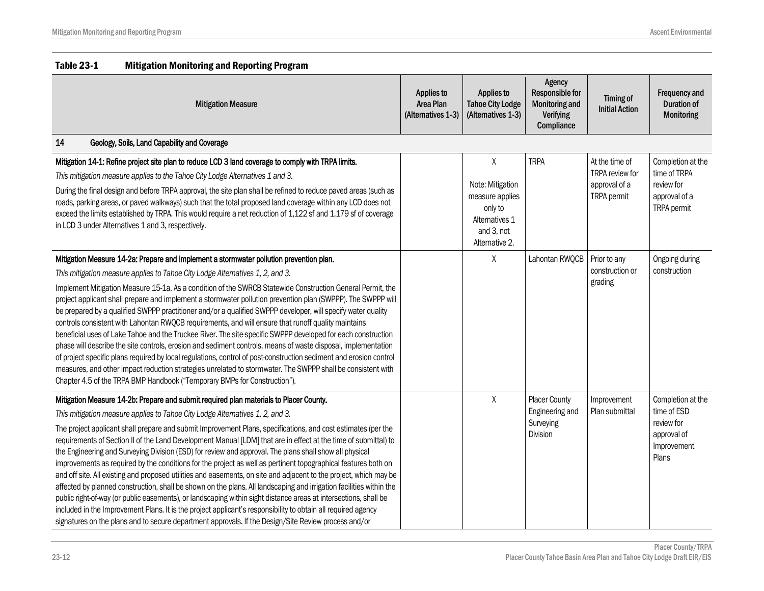| <b>Mitigation Measure</b>                                                                                                                                                                                                                                                                                                                                                                                                                                                                                                                                                                                                                                                                                                                                                                                                                                                                                                                                                                                                                                                                                                                                                                                                          | Applies to<br>Area Plan<br>(Alternatives 1-3) | Applies to<br><b>Tahoe City Lodge</b><br>(Alternatives 1-3)                                           | Agency<br><b>Responsible for</b><br>Monitoring and<br>Verifying<br>Compliance | Timing of<br><b>Initial Action</b>                                | Frequency and<br>Duration of<br><b>Monitoring</b>                                     |
|------------------------------------------------------------------------------------------------------------------------------------------------------------------------------------------------------------------------------------------------------------------------------------------------------------------------------------------------------------------------------------------------------------------------------------------------------------------------------------------------------------------------------------------------------------------------------------------------------------------------------------------------------------------------------------------------------------------------------------------------------------------------------------------------------------------------------------------------------------------------------------------------------------------------------------------------------------------------------------------------------------------------------------------------------------------------------------------------------------------------------------------------------------------------------------------------------------------------------------|-----------------------------------------------|-------------------------------------------------------------------------------------------------------|-------------------------------------------------------------------------------|-------------------------------------------------------------------|---------------------------------------------------------------------------------------|
| 14<br>Geology, Soils, Land Capability and Coverage                                                                                                                                                                                                                                                                                                                                                                                                                                                                                                                                                                                                                                                                                                                                                                                                                                                                                                                                                                                                                                                                                                                                                                                 |                                               |                                                                                                       |                                                                               |                                                                   |                                                                                       |
| Mitigation 14-1: Refine project site plan to reduce LCD 3 land coverage to comply with TRPA limits.<br>This mitigation measure applies to the Tahoe City Lodge Alternatives 1 and 3.<br>During the final design and before TRPA approval, the site plan shall be refined to reduce paved areas (such as<br>roads, parking areas, or paved walkways) such that the total proposed land coverage within any LCD does not<br>exceed the limits established by TRPA. This would require a net reduction of 1,122 sf and 1,179 sf of coverage<br>in LCD 3 under Alternatives 1 and 3, respectively.                                                                                                                                                                                                                                                                                                                                                                                                                                                                                                                                                                                                                                     |                                               | X<br>Note: Mitigation<br>measure applies<br>only to<br>Alternatives 1<br>and 3, not<br>Alternative 2. | <b>TRPA</b>                                                                   | At the time of<br>TRPA review for<br>approval of a<br>TRPA permit | Completion at the<br>time of TRPA<br>review for<br>approval of a<br>TRPA permit       |
| Mitigation Measure 14-2a: Prepare and implement a stormwater pollution prevention plan.<br>This mitigation measure applies to Tahoe City Lodge Alternatives 1, 2, and 3.<br>Implement Mitigation Measure 15-1a. As a condition of the SWRCB Statewide Construction General Permit, the<br>project applicant shall prepare and implement a stormwater pollution prevention plan (SWPPP). The SWPPP will<br>be prepared by a qualified SWPPP practitioner and/or a qualified SWPPP developer, will specify water quality<br>controls consistent with Lahontan RWQCB requirements, and will ensure that runoff quality maintains<br>beneficial uses of Lake Tahoe and the Truckee River. The site-specific SWPPP developed for each construction<br>phase will describe the site controls, erosion and sediment controls, means of waste disposal, implementation<br>of project specific plans required by local regulations, control of post-construction sediment and erosion control<br>measures, and other impact reduction strategies unrelated to stormwater. The SWPPP shall be consistent with<br>Chapter 4.5 of the TRPA BMP Handbook ("Temporary BMPs for Construction").                                                   |                                               | X                                                                                                     | Lahontan RWQCB                                                                | Prior to any<br>construction or<br>grading                        | Ongoing during<br>construction                                                        |
| Mitigation Measure 14-2b: Prepare and submit required plan materials to Placer County.<br>This mitigation measure applies to Tahoe City Lodge Alternatives 1, 2, and 3.<br>The project applicant shall prepare and submit Improvement Plans, specifications, and cost estimates (per the<br>requirements of Section II of the Land Development Manual [LDM] that are in effect at the time of submittal) to<br>the Engineering and Surveying Division (ESD) for review and approval. The plans shall show all physical<br>improvements as required by the conditions for the project as well as pertinent topographical features both on<br>and off site. All existing and proposed utilities and easements, on site and adjacent to the project, which may be<br>affected by planned construction, shall be shown on the plans. All landscaping and irrigation facilities within the<br>public right-of-way (or public easements), or landscaping within sight distance areas at intersections, shall be<br>included in the Improvement Plans. It is the project applicant's responsibility to obtain all required agency<br>signatures on the plans and to secure department approvals. If the Design/Site Review process and/or |                                               | X                                                                                                     | <b>Placer County</b><br>Engineering and<br>Surveying<br>Division              | Improvement<br>Plan submittal                                     | Completion at the<br>time of ESD<br>review for<br>approval of<br>Improvement<br>Plans |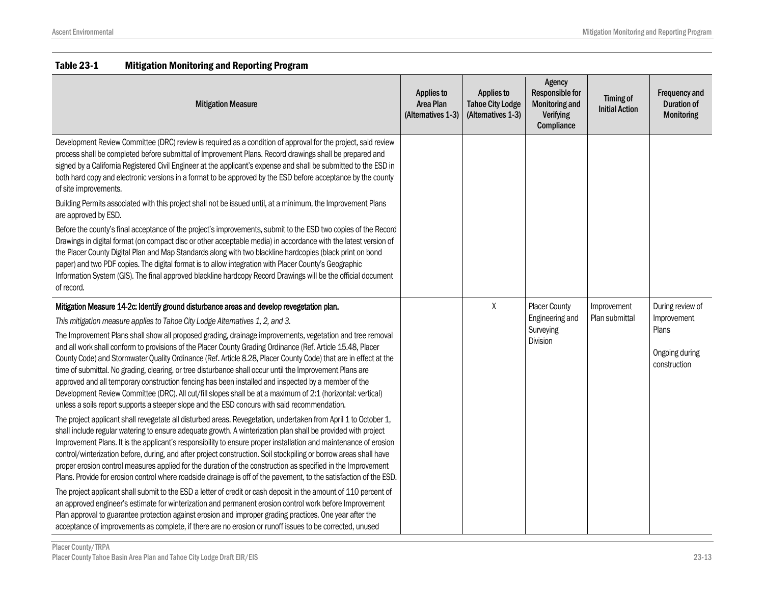| <b>Mitigation Measure</b>                                                                                                                                                                                                                                                                                                                                                                                                                                                                                                                                                                                                                                                                                                                                                                                                                                                                                                                                                                                                                                                                                                                                                                                                                                                                                                                                                                                                                                                                                                                                                                                                                                                                                                                                                                                                                                                                                                                                                                                                                                                                                                              | Applies to<br>Area Plan<br>(Alternatives 1-3) | <b>Applies to</b><br><b>Tahoe City Lodge</b><br>(Alternatives 1-3) | Agency<br><b>Responsible for</b><br>Monitoring and<br>Verifying<br>Compliance | Timing of<br><b>Initial Action</b> | Frequency and<br><b>Duration of</b><br><b>Monitoring</b>                   |
|----------------------------------------------------------------------------------------------------------------------------------------------------------------------------------------------------------------------------------------------------------------------------------------------------------------------------------------------------------------------------------------------------------------------------------------------------------------------------------------------------------------------------------------------------------------------------------------------------------------------------------------------------------------------------------------------------------------------------------------------------------------------------------------------------------------------------------------------------------------------------------------------------------------------------------------------------------------------------------------------------------------------------------------------------------------------------------------------------------------------------------------------------------------------------------------------------------------------------------------------------------------------------------------------------------------------------------------------------------------------------------------------------------------------------------------------------------------------------------------------------------------------------------------------------------------------------------------------------------------------------------------------------------------------------------------------------------------------------------------------------------------------------------------------------------------------------------------------------------------------------------------------------------------------------------------------------------------------------------------------------------------------------------------------------------------------------------------------------------------------------------------|-----------------------------------------------|--------------------------------------------------------------------|-------------------------------------------------------------------------------|------------------------------------|----------------------------------------------------------------------------|
| Development Review Committee (DRC) review is required as a condition of approval for the project, said review<br>process shall be completed before submittal of Improvement Plans. Record drawings shall be prepared and<br>signed by a California Registered Civil Engineer at the applicant's expense and shall be submitted to the ESD in<br>both hard copy and electronic versions in a format to be approved by the ESD before acceptance by the county<br>of site improvements.<br>Building Permits associated with this project shall not be issued until, at a minimum, the Improvement Plans<br>are approved by ESD.                                                                                                                                                                                                                                                                                                                                                                                                                                                                                                                                                                                                                                                                                                                                                                                                                                                                                                                                                                                                                                                                                                                                                                                                                                                                                                                                                                                                                                                                                                          |                                               |                                                                    |                                                                               |                                    |                                                                            |
| Before the county's final acceptance of the project's improvements, submit to the ESD two copies of the Record<br>Drawings in digital format (on compact disc or other acceptable media) in accordance with the latest version of<br>the Placer County Digital Plan and Map Standards along with two blackline hardcopies (black print on bond<br>paper) and two PDF copies. The digital format is to allow integration with Placer County's Geographic<br>Information System (GIS). The final approved blackline hardcopy Record Drawings will be the official document<br>of record.                                                                                                                                                                                                                                                                                                                                                                                                                                                                                                                                                                                                                                                                                                                                                                                                                                                                                                                                                                                                                                                                                                                                                                                                                                                                                                                                                                                                                                                                                                                                                 |                                               |                                                                    |                                                                               |                                    |                                                                            |
| Mitigation Measure 14-2c: Identify ground disturbance areas and develop revegetation plan.<br>This mitigation measure applies to Tahoe City Lodge Alternatives 1, 2, and 3.<br>The Improvement Plans shall show all proposed grading, drainage improvements, vegetation and tree removal<br>and all work shall conform to provisions of the Placer County Grading Ordinance (Ref. Article 15.48, Placer<br>County Code) and Stormwater Quality Ordinance (Ref. Article 8.28, Placer County Code) that are in effect at the<br>time of submittal. No grading, clearing, or tree disturbance shall occur until the Improvement Plans are<br>approved and all temporary construction fencing has been installed and inspected by a member of the<br>Development Review Committee (DRC). All cut/fill slopes shall be at a maximum of 2:1 (horizontal: vertical)<br>unless a soils report supports a steeper slope and the ESD concurs with said recommendation.<br>The project applicant shall revegetate all disturbed areas. Revegetation, undertaken from April 1 to October 1,<br>shall include regular watering to ensure adequate growth. A winterization plan shall be provided with project<br>Improvement Plans. It is the applicant's responsibility to ensure proper installation and maintenance of erosion<br>control/winterization before, during, and after project construction. Soil stockpiling or borrow areas shall have<br>proper erosion control measures applied for the duration of the construction as specified in the Improvement<br>Plans. Provide for erosion control where roadside drainage is off of the pavement, to the satisfaction of the ESD.<br>The project applicant shall submit to the ESD a letter of credit or cash deposit in the amount of 110 percent of<br>an approved engineer's estimate for winterization and permanent erosion control work before Improvement<br>Plan approval to guarantee protection against erosion and improper grading practices. One year after the<br>acceptance of improvements as complete, if there are no erosion or runoff issues to be corrected, unused |                                               | $\mathsf{X}$                                                       | <b>Placer County</b><br>Engineering and<br>Surveying<br>Division              | Improvement<br>Plan submittal      | During review of<br>Improvement<br>Plans<br>Ongoing during<br>construction |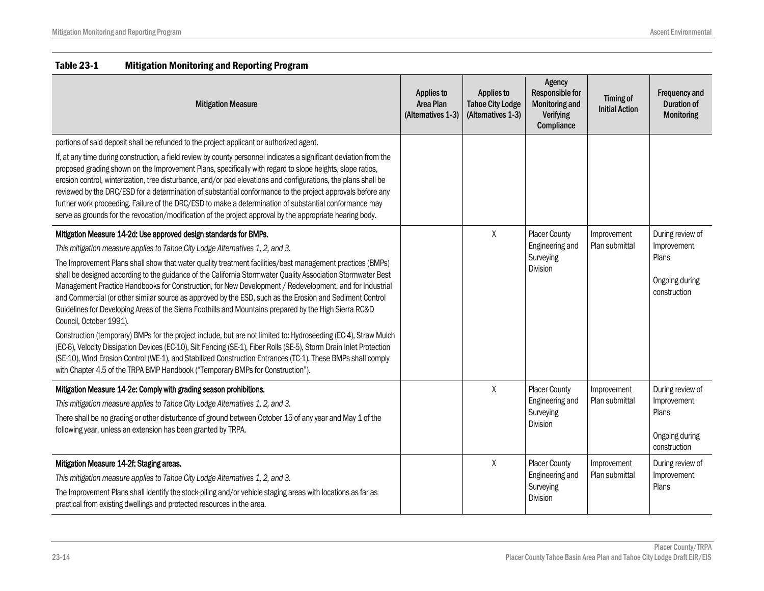| <b>Mitigation Measure</b>                                                                                                                                                                                                                                                                                                                                                                                                                                                                                                                                                                                                                                                                                                                                                                                                                                                                                                                                                                                                                                                                                                                                                              | Applies to<br>Area Plan<br>(Alternatives 1-3) | Applies to<br><b>Tahoe City Lodge</b><br>(Alternatives 1-3) | Agency<br><b>Responsible for</b><br><b>Monitoring and</b><br><b>Verifying</b><br>Compliance | Timing of<br><b>Initial Action</b> | <b>Frequency and</b><br><b>Duration of</b><br>Monitoring                   |
|----------------------------------------------------------------------------------------------------------------------------------------------------------------------------------------------------------------------------------------------------------------------------------------------------------------------------------------------------------------------------------------------------------------------------------------------------------------------------------------------------------------------------------------------------------------------------------------------------------------------------------------------------------------------------------------------------------------------------------------------------------------------------------------------------------------------------------------------------------------------------------------------------------------------------------------------------------------------------------------------------------------------------------------------------------------------------------------------------------------------------------------------------------------------------------------|-----------------------------------------------|-------------------------------------------------------------|---------------------------------------------------------------------------------------------|------------------------------------|----------------------------------------------------------------------------|
| portions of said deposit shall be refunded to the project applicant or authorized agent.<br>If, at any time during construction, a field review by county personnel indicates a significant deviation from the<br>proposed grading shown on the Improvement Plans, specifically with regard to slope heights, slope ratios,<br>erosion control, winterization, tree disturbance, and/or pad elevations and configurations, the plans shall be<br>reviewed by the DRC/ESD for a determination of substantial conformance to the project approvals before any<br>further work proceeding. Failure of the DRC/ESD to make a determination of substantial conformance may<br>serve as grounds for the revocation/modification of the project approval by the appropriate hearing body.                                                                                                                                                                                                                                                                                                                                                                                                     |                                               |                                                             |                                                                                             |                                    |                                                                            |
| Mitigation Measure 14-2d: Use approved design standards for BMPs.<br>This mitigation measure applies to Tahoe City Lodge Alternatives 1, 2, and 3.<br>The Improvement Plans shall show that water quality treatment facilities/best management practices (BMPs)<br>shall be designed according to the guidance of the California Stormwater Quality Association Stormwater Best<br>Management Practice Handbooks for Construction, for New Development / Redevelopment, and for Industrial<br>and Commercial (or other similar source as approved by the ESD, such as the Erosion and Sediment Control<br>Guidelines for Developing Areas of the Sierra Foothills and Mountains prepared by the High Sierra RC&D<br>Council, October 1991).<br>Construction (temporary) BMPs for the project include, but are not limited to: Hydroseeding (EC-4), Straw Mulch<br>(EC-6), Velocity Dissipation Devices (EC-10), Silt Fencing (SE-1), Fiber Rolls (SE-5), Storm Drain Inlet Protection<br>(SE-10), Wind Erosion Control (WE-1), and Stabilized Construction Entrances (TC-1). These BMPs shall comply<br>with Chapter 4.5 of the TRPA BMP Handbook ("Temporary BMPs for Construction"). |                                               | X                                                           | <b>Placer County</b><br>Engineering and<br>Surveying<br>Division                            | Improvement<br>Plan submittal      | During review of<br>Improvement<br>Plans<br>Ongoing during<br>construction |
| Mitigation Measure 14-2e: Comply with grading season prohibitions.<br>This mitigation measure applies to Tahoe City Lodge Alternatives 1, 2, and 3.<br>There shall be no grading or other disturbance of ground between October 15 of any year and May 1 of the<br>following year, unless an extension has been granted by TRPA.                                                                                                                                                                                                                                                                                                                                                                                                                                                                                                                                                                                                                                                                                                                                                                                                                                                       |                                               | χ                                                           | <b>Placer County</b><br>Engineering and<br>Surveying<br>Division                            | Improvement<br>Plan submittal      | During review of<br>Improvement<br>Plans<br>Ongoing during<br>construction |
| Mitigation Measure 14-2f: Staging areas.<br>This mitigation measure applies to Tahoe City Lodge Alternatives 1, 2, and 3.<br>The Improvement Plans shall identify the stock-piling and/or vehicle staging areas with locations as far as<br>practical from existing dwellings and protected resources in the area.                                                                                                                                                                                                                                                                                                                                                                                                                                                                                                                                                                                                                                                                                                                                                                                                                                                                     |                                               | X                                                           | <b>Placer County</b><br>Engineering and<br>Surveying<br>Division                            | Improvement<br>Plan submittal      | During review of<br>Improvement<br>Plans                                   |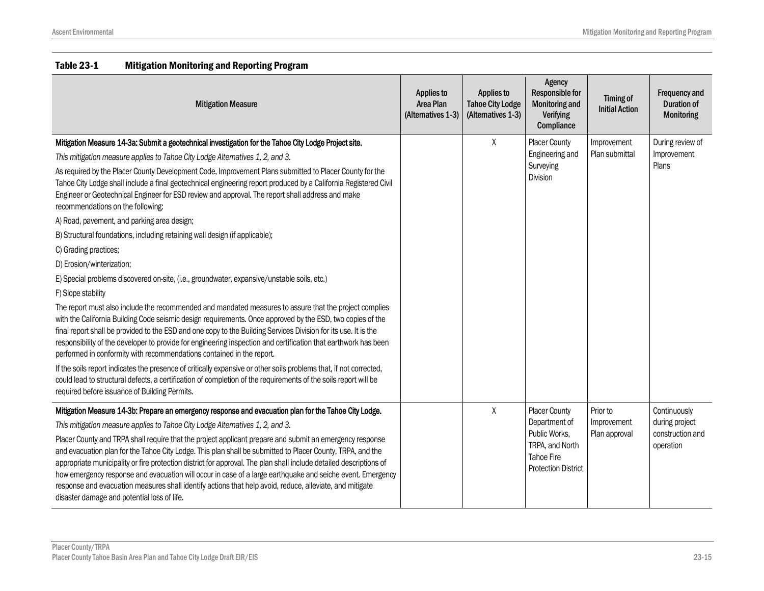| <b>Mitigation Measure</b>                                                                                                                                                                                                                                                                                                                                                                                                                                                                                                                                                                                                                                                                                                                                                                                                                                                                                                                                                                                                                                                                                                                                                                                                                                                                                                                                                                                                                                                                                                                                                                                                                                                                               | Applies to<br>Area Plan<br>(Alternatives 1-3) | Applies to<br><b>Tahoe City Lodge</b><br>(Alternatives 1-3) | Agency<br>Responsible for<br>Monitoring and<br><b>Verifying</b><br>Compliance                                         | <b>Timing of</b><br><b>Initial Action</b> | <b>Frequency and</b><br><b>Duration of</b><br>Monitoring        |
|---------------------------------------------------------------------------------------------------------------------------------------------------------------------------------------------------------------------------------------------------------------------------------------------------------------------------------------------------------------------------------------------------------------------------------------------------------------------------------------------------------------------------------------------------------------------------------------------------------------------------------------------------------------------------------------------------------------------------------------------------------------------------------------------------------------------------------------------------------------------------------------------------------------------------------------------------------------------------------------------------------------------------------------------------------------------------------------------------------------------------------------------------------------------------------------------------------------------------------------------------------------------------------------------------------------------------------------------------------------------------------------------------------------------------------------------------------------------------------------------------------------------------------------------------------------------------------------------------------------------------------------------------------------------------------------------------------|-----------------------------------------------|-------------------------------------------------------------|-----------------------------------------------------------------------------------------------------------------------|-------------------------------------------|-----------------------------------------------------------------|
| Mitigation Measure 14-3a: Submit a geotechnical investigation for the Tahoe City Lodge Project site.<br>This mitigation measure applies to Tahoe City Lodge Alternatives 1, 2, and 3.<br>As required by the Placer County Development Code, Improvement Plans submitted to Placer County for the<br>Tahoe City Lodge shall include a final geotechnical engineering report produced by a California Registered Civil<br>Engineer or Geotechnical Engineer for ESD review and approval. The report shall address and make<br>recommendations on the following:<br>A) Road, pavement, and parking area design;<br>B) Structural foundations, including retaining wall design (if applicable);<br>C) Grading practices;<br>D) Erosion/winterization;<br>E) Special problems discovered on-site, (i.e., groundwater, expansive/unstable soils, etc.)<br>F) Slope stability<br>The report must also include the recommended and mandated measures to assure that the project complies<br>with the California Building Code seismic design requirements. Once approved by the ESD, two copies of the<br>final report shall be provided to the ESD and one copy to the Building Services Division for its use. It is the<br>responsibility of the developer to provide for engineering inspection and certification that earthwork has been<br>performed in conformity with recommendations contained in the report.<br>If the soils report indicates the presence of critically expansive or other soils problems that, if not corrected,<br>could lead to structural defects, a certification of completion of the requirements of the soils report will be<br>required before issuance of Building Permits. |                                               | $\chi$                                                      | <b>Placer County</b><br>Engineering and<br>Surveying<br>Division                                                      | Improvement<br>Plan submittal             | During review of<br>Improvement<br>Plans                        |
| Mitigation Measure 14-3b: Prepare an emergency response and evacuation plan for the Tahoe City Lodge.<br>This mitigation measure applies to Tahoe City Lodge Alternatives 1, 2, and 3.<br>Placer County and TRPA shall require that the project applicant prepare and submit an emergency response<br>and evacuation plan for the Tahoe City Lodge. This plan shall be submitted to Placer County, TRPA, and the<br>appropriate municipality or fire protection district for approval. The plan shall include detailed descriptions of<br>how emergency response and evacuation will occur in case of a large earthquake and seiche event. Emergency<br>response and evacuation measures shall identify actions that help avoid, reduce, alleviate, and mitigate<br>disaster damage and potential loss of life.                                                                                                                                                                                                                                                                                                                                                                                                                                                                                                                                                                                                                                                                                                                                                                                                                                                                                         |                                               | X                                                           | <b>Placer County</b><br>Department of<br>Public Works,<br>TRPA, and North<br>Tahoe Fire<br><b>Protection District</b> | Prior to<br>Improvement<br>Plan approval  | Continuously<br>during project<br>construction and<br>operation |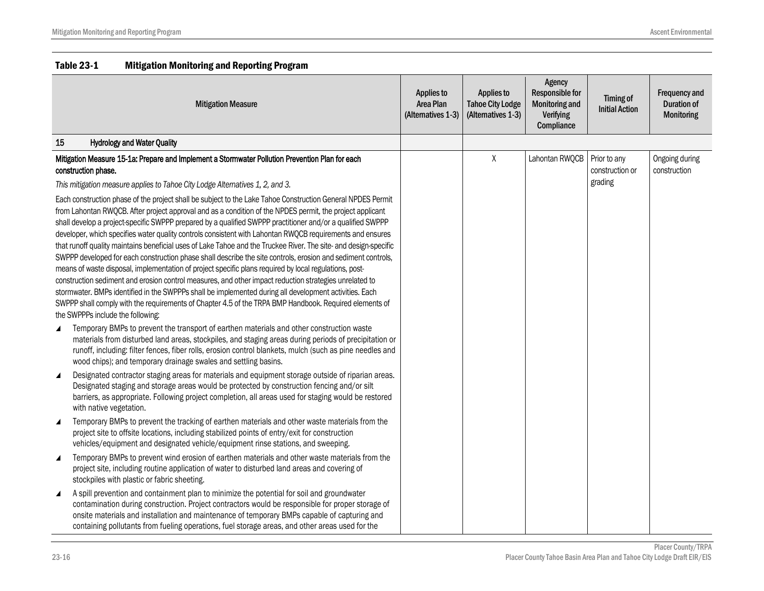|    | <b>Mitigation Measure</b>                                                                                                                                                                                                                                                                                                                                                                                                                                                                                                                                                                                                                                                                                                                                                                                                                                                                                                                                                                                                                                                                                                                                                                                                                                                                                                                                                                                                                                                                                                                                 | <b>Applies to</b><br>Area Plan<br>(Alternatives 1-3) | Applies to<br><b>Tahoe City Lodge</b><br>(Alternatives 1-3) | Agency<br><b>Responsible for</b><br>Monitoring and<br>Verifying<br>Compliance | <b>Timing of</b><br><b>Initial Action</b> | Frequency and<br><b>Duration of</b><br><b>Monitoring</b> |
|----|-----------------------------------------------------------------------------------------------------------------------------------------------------------------------------------------------------------------------------------------------------------------------------------------------------------------------------------------------------------------------------------------------------------------------------------------------------------------------------------------------------------------------------------------------------------------------------------------------------------------------------------------------------------------------------------------------------------------------------------------------------------------------------------------------------------------------------------------------------------------------------------------------------------------------------------------------------------------------------------------------------------------------------------------------------------------------------------------------------------------------------------------------------------------------------------------------------------------------------------------------------------------------------------------------------------------------------------------------------------------------------------------------------------------------------------------------------------------------------------------------------------------------------------------------------------|------------------------------------------------------|-------------------------------------------------------------|-------------------------------------------------------------------------------|-------------------------------------------|----------------------------------------------------------|
| 15 | <b>Hydrology and Water Quality</b>                                                                                                                                                                                                                                                                                                                                                                                                                                                                                                                                                                                                                                                                                                                                                                                                                                                                                                                                                                                                                                                                                                                                                                                                                                                                                                                                                                                                                                                                                                                        |                                                      |                                                             |                                                                               |                                           |                                                          |
|    | Mitigation Measure 15-1a: Prepare and Implement a Stormwater Pollution Prevention Plan for each<br>construction phase.                                                                                                                                                                                                                                                                                                                                                                                                                                                                                                                                                                                                                                                                                                                                                                                                                                                                                                                                                                                                                                                                                                                                                                                                                                                                                                                                                                                                                                    |                                                      | χ                                                           | Lahontan RWQCB                                                                | Prior to any<br>construction or           | Ongoing during<br>construction                           |
|    | This mitigation measure applies to Tahoe City Lodge Alternatives 1, 2, and 3.                                                                                                                                                                                                                                                                                                                                                                                                                                                                                                                                                                                                                                                                                                                                                                                                                                                                                                                                                                                                                                                                                                                                                                                                                                                                                                                                                                                                                                                                             |                                                      |                                                             |                                                                               | grading                                   |                                                          |
| ◢  | Each construction phase of the project shall be subject to the Lake Tahoe Construction General NPDES Permit<br>from Lahontan RWQCB. After project approval and as a condition of the NPDES permit, the project applicant<br>shall develop a project-specific SWPPP prepared by a qualified SWPPP practitioner and/or a qualified SWPPP<br>developer, which specifies water quality controls consistent with Lahontan RWQCB requirements and ensures<br>that runoff quality maintains beneficial uses of Lake Tahoe and the Truckee River. The site- and design-specific<br>SWPPP developed for each construction phase shall describe the site controls, erosion and sediment controls,<br>means of waste disposal, implementation of project specific plans required by local regulations, post-<br>construction sediment and erosion control measures, and other impact reduction strategies unrelated to<br>stormwater. BMPs identified in the SWPPPs shall be implemented during all development activities. Each<br>SWPPP shall comply with the requirements of Chapter 4.5 of the TRPA BMP Handbook. Required elements of<br>the SWPPPs include the following:<br>Temporary BMPs to prevent the transport of earthen materials and other construction waste<br>materials from disturbed land areas, stockpiles, and staging areas during periods of precipitation or<br>runoff, including: filter fences, fiber rolls, erosion control blankets, mulch (such as pine needles and<br>wood chips); and temporary drainage swales and settling basins. |                                                      |                                                             |                                                                               |                                           |                                                          |
| ◢  | Designated contractor staging areas for materials and equipment storage outside of riparian areas.<br>Designated staging and storage areas would be protected by construction fencing and/or silt<br>barriers, as appropriate. Following project completion, all areas used for staging would be restored<br>with native vegetation.                                                                                                                                                                                                                                                                                                                                                                                                                                                                                                                                                                                                                                                                                                                                                                                                                                                                                                                                                                                                                                                                                                                                                                                                                      |                                                      |                                                             |                                                                               |                                           |                                                          |
| ◢  | Temporary BMPs to prevent the tracking of earthen materials and other waste materials from the<br>project site to offsite locations, including stabilized points of entry/exit for construction<br>vehicles/equipment and designated vehicle/equipment rinse stations, and sweeping.                                                                                                                                                                                                                                                                                                                                                                                                                                                                                                                                                                                                                                                                                                                                                                                                                                                                                                                                                                                                                                                                                                                                                                                                                                                                      |                                                      |                                                             |                                                                               |                                           |                                                          |
| ◢  | Temporary BMPs to prevent wind erosion of earthen materials and other waste materials from the<br>project site, including routine application of water to disturbed land areas and covering of<br>stockpiles with plastic or fabric sheeting.                                                                                                                                                                                                                                                                                                                                                                                                                                                                                                                                                                                                                                                                                                                                                                                                                                                                                                                                                                                                                                                                                                                                                                                                                                                                                                             |                                                      |                                                             |                                                                               |                                           |                                                          |
| ◢  | A spill prevention and containment plan to minimize the potential for soil and groundwater<br>contamination during construction. Project contractors would be responsible for proper storage of<br>onsite materials and installation and maintenance of temporary BMPs capable of capturing and<br>containing pollutants from fueling operations, fuel storage areas, and other areas used for the                                                                                                                                                                                                                                                                                                                                                                                                                                                                                                                                                                                                                                                                                                                                                                                                                                                                                                                                                                                                                                                                                                                                                        |                                                      |                                                             |                                                                               |                                           |                                                          |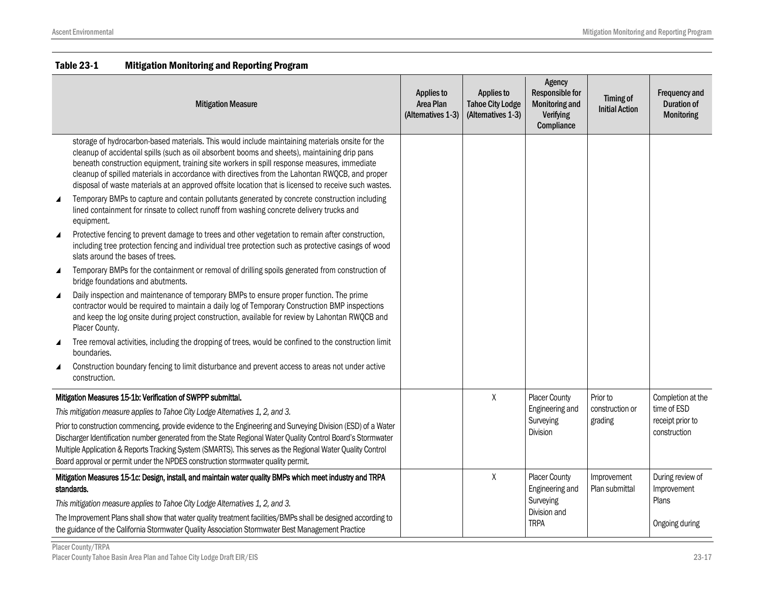| <b>Mitigation Measure</b>                                                                                                                                                                                                                                                                                                                                                                                                                                                                                | Applies to<br>Area Plan<br>(Alternatives 1-3) | <b>Applies to</b><br><b>Tahoe City Lodge</b><br>(Alternatives 1-3) | Agency<br><b>Responsible for</b><br>Monitoring and<br>Verifying<br>Compliance | Timing of<br><b>Initial Action</b> | Frequency and<br>Duration of<br><b>Monitoring</b> |
|----------------------------------------------------------------------------------------------------------------------------------------------------------------------------------------------------------------------------------------------------------------------------------------------------------------------------------------------------------------------------------------------------------------------------------------------------------------------------------------------------------|-----------------------------------------------|--------------------------------------------------------------------|-------------------------------------------------------------------------------|------------------------------------|---------------------------------------------------|
| storage of hydrocarbon-based materials. This would include maintaining materials onsite for the<br>cleanup of accidental spills (such as oil absorbent booms and sheets), maintaining drip pans<br>beneath construction equipment, training site workers in spill response measures, immediate<br>cleanup of spilled materials in accordance with directives from the Lahontan RWQCB, and proper<br>disposal of waste materials at an approved offsite location that is licensed to receive such wastes. |                                               |                                                                    |                                                                               |                                    |                                                   |
| Temporary BMPs to capture and contain pollutants generated by concrete construction including<br>lined containment for rinsate to collect runoff from washing concrete delivery trucks and<br>equipment.                                                                                                                                                                                                                                                                                                 |                                               |                                                                    |                                                                               |                                    |                                                   |
| Protective fencing to prevent damage to trees and other vegetation to remain after construction,<br>$\overline{\mathbf{A}}$<br>including tree protection fencing and individual tree protection such as protective casings of wood<br>slats around the bases of trees.                                                                                                                                                                                                                                   |                                               |                                                                    |                                                                               |                                    |                                                   |
| Temporary BMPs for the containment or removal of drilling spoils generated from construction of<br>$\blacktriangle$<br>bridge foundations and abutments.                                                                                                                                                                                                                                                                                                                                                 |                                               |                                                                    |                                                                               |                                    |                                                   |
| Daily inspection and maintenance of temporary BMPs to ensure proper function. The prime<br>$\blacktriangle$<br>contractor would be required to maintain a daily log of Temporary Construction BMP inspections<br>and keep the log onsite during project construction, available for review by Lahontan RWQCB and<br>Placer County.                                                                                                                                                                       |                                               |                                                                    |                                                                               |                                    |                                                   |
| Tree removal activities, including the dropping of trees, would be confined to the construction limit<br>◢<br>boundaries.                                                                                                                                                                                                                                                                                                                                                                                |                                               |                                                                    |                                                                               |                                    |                                                   |
| Construction boundary fencing to limit disturbance and prevent access to areas not under active<br>◢<br>construction.                                                                                                                                                                                                                                                                                                                                                                                    |                                               |                                                                    |                                                                               |                                    |                                                   |
| Mitigation Measures 15-1b: Verification of SWPPP submittal.                                                                                                                                                                                                                                                                                                                                                                                                                                              |                                               | $\pmb{\chi}$                                                       | Placer County                                                                 | Prior to                           | Completion at the                                 |
| This mitigation measure applies to Tahoe City Lodge Alternatives 1, 2, and 3.                                                                                                                                                                                                                                                                                                                                                                                                                            |                                               |                                                                    | Engineering and<br>Surveying<br>grading<br><b>Division</b>                    | construction or                    | time of ESD                                       |
| Prior to construction commencing, provide evidence to the Engineering and Surveying Division (ESD) of a Water<br>Discharger Identification number generated from the State Regional Water Quality Control Board's Stormwater<br>Multiple Application & Reports Tracking System (SMARTS). This serves as the Regional Water Quality Control<br>Board approval or permit under the NPDES construction stormwater quality permit.                                                                           |                                               |                                                                    |                                                                               |                                    | receipt prior to<br>construction                  |
| Mitigation Measures 15-1c: Design, install, and maintain water quality BMPs which meet industry and TRPA<br>standards.<br>This mitigation measure applies to Tahoe City Lodge Alternatives 1, 2, and 3.                                                                                                                                                                                                                                                                                                  |                                               | χ                                                                  | <b>Placer County</b><br>Engineering and<br>Surveying                          | Improvement<br>Plan submittal      | During review of<br>Improvement<br>Plans          |
| The Improvement Plans shall show that water quality treatment facilities/BMPs shall be designed according to<br>the guidance of the California Stormwater Quality Association Stormwater Best Management Practice                                                                                                                                                                                                                                                                                        |                                               |                                                                    | Division and<br><b>TRPA</b>                                                   |                                    | Ongoing during                                    |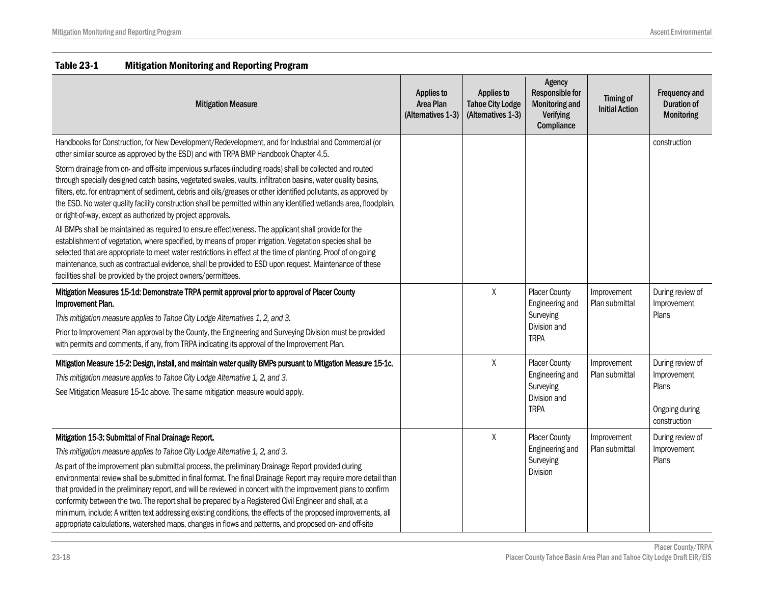| <b>Mitigation Measure</b>                                                                                                                                                                                                                                                                                                                                                                                                                                                                                                                                                                                                                                                                                                                                                                                                                                                                                                                                                                                                                                                                                                                                                                                                                             | <b>Applies to</b><br>Area Plan<br>(Alternatives 1-3) | <b>Applies to</b><br><b>Tahoe City Lodge</b><br>(Alternatives 1-3) | Agency<br>Responsible for<br>Monitoring and<br><b>Verifying</b><br>Compliance       | <b>Timing of</b><br><b>Initial Action</b> | <b>Frequency and</b><br><b>Duration of</b><br>Monitoring                   |
|-------------------------------------------------------------------------------------------------------------------------------------------------------------------------------------------------------------------------------------------------------------------------------------------------------------------------------------------------------------------------------------------------------------------------------------------------------------------------------------------------------------------------------------------------------------------------------------------------------------------------------------------------------------------------------------------------------------------------------------------------------------------------------------------------------------------------------------------------------------------------------------------------------------------------------------------------------------------------------------------------------------------------------------------------------------------------------------------------------------------------------------------------------------------------------------------------------------------------------------------------------|------------------------------------------------------|--------------------------------------------------------------------|-------------------------------------------------------------------------------------|-------------------------------------------|----------------------------------------------------------------------------|
| Handbooks for Construction, for New Development/Redevelopment, and for Industrial and Commercial (or<br>other similar source as approved by the ESD) and with TRPA BMP Handbook Chapter 4.5.<br>Storm drainage from on- and off-site impervious surfaces (including roads) shall be collected and routed<br>through specially designed catch basins, vegetated swales, vaults, infiltration basins, water quality basins,<br>filters, etc. for entrapment of sediment, debris and oils/greases or other identified pollutants, as approved by<br>the ESD. No water quality facility construction shall be permitted within any identified wetlands area, floodplain,<br>or right-of-way, except as authorized by project approvals.<br>All BMPs shall be maintained as required to ensure effectiveness. The applicant shall provide for the<br>establishment of vegetation, where specified, by means of proper irrigation. Vegetation species shall be<br>selected that are appropriate to meet water restrictions in effect at the time of planting. Proof of on-going<br>maintenance, such as contractual evidence, shall be provided to ESD upon request. Maintenance of these<br>facilities shall be provided by the project owners/permittees. |                                                      |                                                                    |                                                                                     |                                           | construction                                                               |
| Mitigation Measures 15-1d: Demonstrate TRPA permit approval prior to approval of Placer County<br>Improvement Plan.<br>This mitigation measure applies to Tahoe City Lodge Alternatives 1, 2, and 3.<br>Prior to Improvement Plan approval by the County, the Engineering and Surveying Division must be provided<br>with permits and comments, if any, from TRPA indicating its approval of the Improvement Plan.                                                                                                                                                                                                                                                                                                                                                                                                                                                                                                                                                                                                                                                                                                                                                                                                                                    |                                                      | X                                                                  | <b>Placer County</b><br>Engineering and<br>Surveying<br>Division and<br><b>TRPA</b> | Improvement<br>Plan submittal             | During review of<br>Improvement<br>Plans                                   |
| Mitigation Measure 15-2: Design, install, and maintain water quality BMPs pursuant to Mitigation Measure 15-1c.<br>This mitigation measure applies to Tahoe City Lodge Alternative 1, 2, and 3.<br>See Mitigation Measure 15-1c above. The same mitigation measure would apply.                                                                                                                                                                                                                                                                                                                                                                                                                                                                                                                                                                                                                                                                                                                                                                                                                                                                                                                                                                       |                                                      | χ                                                                  | <b>Placer County</b><br>Engineering and<br>Surveying<br>Division and<br><b>TRPA</b> | Improvement<br>Plan submittal             | During review of<br>Improvement<br>Plans<br>Ongoing during<br>construction |
| Mitigation 15-3: Submittal of Final Drainage Report.<br>This mitigation measure applies to Tahoe City Lodge Alternative 1, 2, and 3.<br>As part of the improvement plan submittal process, the preliminary Drainage Report provided during<br>environmental review shall be submitted in final format. The final Drainage Report may require more detail than<br>that provided in the preliminary report, and will be reviewed in concert with the improvement plans to confirm<br>conformity between the two. The report shall be prepared by a Registered Civil Engineer and shall, at a<br>minimum, include: A written text addressing existing conditions, the effects of the proposed improvements, all<br>appropriate calculations, watershed maps, changes in flows and patterns, and proposed on- and off-site                                                                                                                                                                                                                                                                                                                                                                                                                                |                                                      | χ                                                                  | <b>Placer County</b><br>Engineering and<br>Surveying<br>Division                    | Improvement<br>Plan submittal             | During review of<br>Improvement<br>Plans                                   |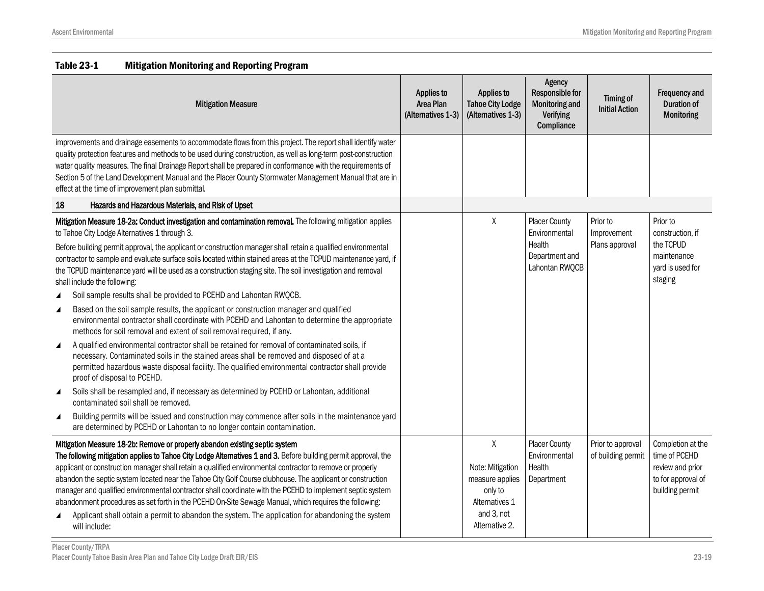| <b>Mitigation Measure</b>                                                                                                                                                                                                                                                                                                                                                                                                                                                                                                                                                                                                                                                                                                                                                                                                                                                                                                                                                                                                                                                                                                                                                                                                                                                                                                                                                                                                                                                                                                                                            | Applies to<br>Area Plan<br>(Alternatives 1-3) | <b>Applies to</b><br><b>Tahoe City Lodge</b><br>(Alternatives 1-3)                                    | Agency<br><b>Responsible for</b><br><b>Monitoring and</b><br>Verifying<br>Compliance | Timing of<br><b>Initial Action</b>        | <b>Frequency and</b><br><b>Duration of</b><br><b>Monitoring</b>                                 |
|----------------------------------------------------------------------------------------------------------------------------------------------------------------------------------------------------------------------------------------------------------------------------------------------------------------------------------------------------------------------------------------------------------------------------------------------------------------------------------------------------------------------------------------------------------------------------------------------------------------------------------------------------------------------------------------------------------------------------------------------------------------------------------------------------------------------------------------------------------------------------------------------------------------------------------------------------------------------------------------------------------------------------------------------------------------------------------------------------------------------------------------------------------------------------------------------------------------------------------------------------------------------------------------------------------------------------------------------------------------------------------------------------------------------------------------------------------------------------------------------------------------------------------------------------------------------|-----------------------------------------------|-------------------------------------------------------------------------------------------------------|--------------------------------------------------------------------------------------|-------------------------------------------|-------------------------------------------------------------------------------------------------|
| improvements and drainage easements to accommodate flows from this project. The report shall identify water<br>quality protection features and methods to be used during construction, as well as long-term post-construction<br>water quality measures. The final Drainage Report shall be prepared in conformance with the requirements of<br>Section 5 of the Land Development Manual and the Placer County Stormwater Management Manual that are in<br>effect at the time of improvement plan submittal.                                                                                                                                                                                                                                                                                                                                                                                                                                                                                                                                                                                                                                                                                                                                                                                                                                                                                                                                                                                                                                                         |                                               |                                                                                                       |                                                                                      |                                           |                                                                                                 |
| 18<br>Hazards and Hazardous Materials, and Risk of Upset                                                                                                                                                                                                                                                                                                                                                                                                                                                                                                                                                                                                                                                                                                                                                                                                                                                                                                                                                                                                                                                                                                                                                                                                                                                                                                                                                                                                                                                                                                             |                                               |                                                                                                       |                                                                                      |                                           |                                                                                                 |
| Mitigation Measure 18-2a: Conduct investigation and contamination removal. The following mitigation applies<br>to Tahoe City Lodge Alternatives 1 through 3.<br>Before building permit approval, the applicant or construction manager shall retain a qualified environmental<br>contractor to sample and evaluate surface soils located within stained areas at the TCPUD maintenance yard, if<br>the TCPUD maintenance yard will be used as a construction staging site. The soil investigation and removal<br>shall include the following:<br>Soil sample results shall be provided to PCEHD and Lahontan RWQCB.<br>◢<br>Based on the soil sample results, the applicant or construction manager and qualified<br>◢<br>environmental contractor shall coordinate with PCEHD and Lahontan to determine the appropriate<br>methods for soil removal and extent of soil removal required, if any.<br>A qualified environmental contractor shall be retained for removal of contaminated soils, if<br>◢<br>necessary. Contaminated soils in the stained areas shall be removed and disposed of at a<br>permitted hazardous waste disposal facility. The qualified environmental contractor shall provide<br>proof of disposal to PCEHD.<br>Soils shall be resampled and, if necessary as determined by PCEHD or Lahontan, additional<br>◢<br>contaminated soil shall be removed.<br>Building permits will be issued and construction may commence after soils in the maintenance yard<br>◢<br>are determined by PCEHD or Lahontan to no longer contain contamination. |                                               | Χ                                                                                                     | <b>Placer County</b><br>Environmental<br>Health<br>Department and<br>Lahontan RWQCB  | Prior to<br>Improvement<br>Plans approval | Prior to<br>construction, if<br>the TCPUD<br>maintenance<br>yard is used for<br>staging         |
| Mitigation Measure 18-2b: Remove or properly abandon existing septic system<br>The following mitigation applies to Tahoe City Lodge Alternatives 1 and 3. Before building permit approval, the<br>applicant or construction manager shall retain a qualified environmental contractor to remove or properly<br>abandon the septic system located near the Tahoe City Golf Course clubhouse. The applicant or construction<br>manager and qualified environmental contractor shall coordinate with the PCEHD to implement septic system<br>abandonment procedures as set forth in the PCEHD On-Site Sewage Manual, which requires the following:<br>Applicant shall obtain a permit to abandon the system. The application for abandoning the system<br>will include:                                                                                                                                                                                                                                                                                                                                                                                                                                                                                                                                                                                                                                                                                                                                                                                                 |                                               | χ<br>Note: Mitigation<br>measure applies<br>only to<br>Alternatives 1<br>and 3, not<br>Alternative 2. | <b>Placer County</b><br>Environmental<br>Health<br>Department                        | Prior to approval<br>of building permit   | Completion at the<br>time of PCEHD<br>review and prior<br>to for approval of<br>building permit |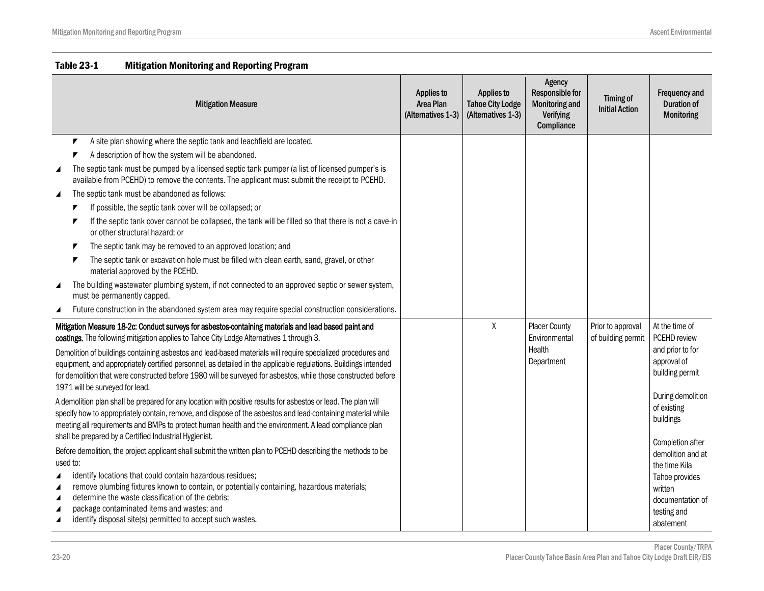| <b>Mitigation Measure</b>                                                                                                                                                                                                                                                                                                                                                                                                                                      | <b>Applies to</b><br>Area Plan<br>(Alternatives 1-3) | <b>Applies to</b><br><b>Tahoe City Lodge</b><br>(Alternatives 1-3) | Agency<br><b>Responsible for</b><br><b>Monitoring and</b><br>Verifying<br>Compliance | Timing of<br><b>Initial Action</b>      | <b>Frequency and</b><br><b>Duration of</b><br>Monitoring                                                        |
|----------------------------------------------------------------------------------------------------------------------------------------------------------------------------------------------------------------------------------------------------------------------------------------------------------------------------------------------------------------------------------------------------------------------------------------------------------------|------------------------------------------------------|--------------------------------------------------------------------|--------------------------------------------------------------------------------------|-----------------------------------------|-----------------------------------------------------------------------------------------------------------------|
| A site plan showing where the septic tank and leachfield are located.                                                                                                                                                                                                                                                                                                                                                                                          |                                                      |                                                                    |                                                                                      |                                         |                                                                                                                 |
| A description of how the system will be abandoned.                                                                                                                                                                                                                                                                                                                                                                                                             |                                                      |                                                                    |                                                                                      |                                         |                                                                                                                 |
| The septic tank must be pumped by a licensed septic tank pumper (a list of licensed pumper's is<br>$\blacktriangle$<br>available from PCEHD) to remove the contents. The applicant must submit the receipt to PCEHD.                                                                                                                                                                                                                                           |                                                      |                                                                    |                                                                                      |                                         |                                                                                                                 |
| The septic tank must be abandoned as follows:<br>◢                                                                                                                                                                                                                                                                                                                                                                                                             |                                                      |                                                                    |                                                                                      |                                         |                                                                                                                 |
| If possible, the septic tank cover will be collapsed; or                                                                                                                                                                                                                                                                                                                                                                                                       |                                                      |                                                                    |                                                                                      |                                         |                                                                                                                 |
| If the septic tank cover cannot be collapsed, the tank will be filled so that there is not a cave-in<br>or other structural hazard; or                                                                                                                                                                                                                                                                                                                         |                                                      |                                                                    |                                                                                      |                                         |                                                                                                                 |
| The septic tank may be removed to an approved location; and                                                                                                                                                                                                                                                                                                                                                                                                    |                                                      |                                                                    |                                                                                      |                                         |                                                                                                                 |
| The septic tank or excavation hole must be filled with clean earth, sand, gravel, or other<br>material approved by the PCEHD.                                                                                                                                                                                                                                                                                                                                  |                                                      |                                                                    |                                                                                      |                                         |                                                                                                                 |
| The building wastewater plumbing system, if not connected to an approved septic or sewer system,<br>must be permanently capped.                                                                                                                                                                                                                                                                                                                                |                                                      |                                                                    |                                                                                      |                                         |                                                                                                                 |
| Future construction in the abandoned system area may require special construction considerations.                                                                                                                                                                                                                                                                                                                                                              |                                                      |                                                                    |                                                                                      |                                         |                                                                                                                 |
| Mitigation Measure 18-2c: Conduct surveys for asbestos-containing materials and lead based paint and<br>coatings. The following mitigation applies to Tahoe City Lodge Alternatives 1 through 3.                                                                                                                                                                                                                                                               |                                                      | Χ                                                                  | <b>Placer County</b><br>Environmental                                                | Prior to approval<br>of building permit | At the time of<br>PCEHD review                                                                                  |
| Demolition of buildings containing asbestos and lead-based materials will require specialized procedures and<br>equipment, and appropriately certified personnel, as detailed in the applicable regulations. Buildings intended<br>for demolition that were constructed before 1980 will be surveyed for asbestos, while those constructed before<br>1971 will be surveyed for lead.                                                                           |                                                      |                                                                    | Health<br>Department                                                                 |                                         | and prior to for<br>approval of<br>building permit                                                              |
| A demolition plan shall be prepared for any location with positive results for asbestos or lead. The plan will<br>specify how to appropriately contain, remove, and dispose of the asbestos and lead-containing material while<br>meeting all requirements and BMPs to protect human health and the environment. A lead compliance plan<br>shall be prepared by a Certified Industrial Hygienist.                                                              |                                                      |                                                                    |                                                                                      |                                         | During demolition<br>of existing<br>buildings<br>Completion after                                               |
| Before demolition, the project applicant shall submit the written plan to PCEHD describing the methods to be<br>used to:<br>identify locations that could contain hazardous residues;<br>◢<br>remove plumbing fixtures known to contain, or potentially containing, hazardous materials;<br>◢<br>determine the waste classification of the debris;<br>package contaminated items and wastes; and<br>identify disposal site(s) permitted to accept such wastes. |                                                      |                                                                    |                                                                                      |                                         | demolition and at<br>the time Kila<br>Tahoe provides<br>written<br>documentation of<br>testing and<br>abatement |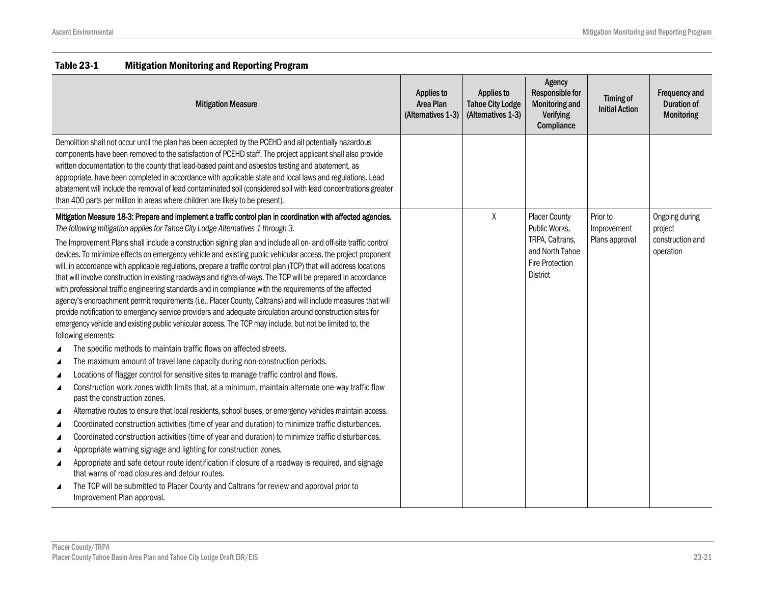| <b>Mitigation Measure</b>                                                                                                                                                                                                                                                                                                                                                                                                                                                                                                                                                                                                                                                                                                                                                                                                                                                                                                                                                                                                                                                                                                                                                                                                                                                                                                                                                                                                                                                                                                                                                                                                                                                                                                                                                                                                                                                                                                                                                                                                                                                                                                                                                                                                                                                         | <b>Applies to</b><br>Area Plan<br>(Alternatives 1-3) | Applies to<br><b>Tahoe City Lodge</b><br>(Alternatives 1-3) | <b>Agency</b><br><b>Responsible for</b><br><b>Monitoring and</b><br><b>Verifying</b><br>Compliance                | <b>Timing of</b><br><b>Initial Action</b> | <b>Frequency and</b><br><b>Duration of</b><br><b>Monitoring</b> |
|-----------------------------------------------------------------------------------------------------------------------------------------------------------------------------------------------------------------------------------------------------------------------------------------------------------------------------------------------------------------------------------------------------------------------------------------------------------------------------------------------------------------------------------------------------------------------------------------------------------------------------------------------------------------------------------------------------------------------------------------------------------------------------------------------------------------------------------------------------------------------------------------------------------------------------------------------------------------------------------------------------------------------------------------------------------------------------------------------------------------------------------------------------------------------------------------------------------------------------------------------------------------------------------------------------------------------------------------------------------------------------------------------------------------------------------------------------------------------------------------------------------------------------------------------------------------------------------------------------------------------------------------------------------------------------------------------------------------------------------------------------------------------------------------------------------------------------------------------------------------------------------------------------------------------------------------------------------------------------------------------------------------------------------------------------------------------------------------------------------------------------------------------------------------------------------------------------------------------------------------------------------------------------------|------------------------------------------------------|-------------------------------------------------------------|-------------------------------------------------------------------------------------------------------------------|-------------------------------------------|-----------------------------------------------------------------|
| Demolition shall not occur until the plan has been accepted by the PCEHD and all potentially hazardous<br>components have been removed to the satisfaction of PCEHD staff. The project applicant shall also provide<br>written documentation to the county that lead-based paint and asbestos testing and abatement, as<br>appropriate, have been completed in accordance with applicable state and local laws and regulations. Lead<br>abatement will include the removal of lead contaminated soil (considered soil with lead concentrations greater<br>than 400 parts per million in areas where children are likely to be present).                                                                                                                                                                                                                                                                                                                                                                                                                                                                                                                                                                                                                                                                                                                                                                                                                                                                                                                                                                                                                                                                                                                                                                                                                                                                                                                                                                                                                                                                                                                                                                                                                                           |                                                      |                                                             |                                                                                                                   |                                           |                                                                 |
| Mitigation Measure 18-3: Prepare and implement a traffic control plan in coordination with affected agencies.<br>The following mitigation applies for Tahoe City Lodge Alternatives 1 through 3.<br>The Improvement Plans shall include a construction signing plan and include all on- and off-site traffic control<br>devices. To minimize effects on emergency vehicle and existing public vehicular access, the project proponent<br>will, in accordance with applicable regulations, prepare a traffic control plan (TCP) that will address locations<br>that will involve construction in existing roadways and rights-of-ways. The TCP will be prepared in accordance<br>with professional traffic engineering standards and in compliance with the requirements of the affected<br>agency's encroachment permit requirements (i.e., Placer County, Caltrans) and will include measures that will<br>provide notification to emergency service providers and adequate circulation around construction sites for<br>emergency vehicle and existing public vehicular access. The TCP may include, but not be limited to, the<br>following elements:<br>The specific methods to maintain traffic flows on affected streets.<br>$\blacktriangle$<br>The maximum amount of travel lane capacity during non-construction periods.<br>◢<br>Locations of flagger control for sensitive sites to manage traffic control and flows.<br>◢<br>Construction work zones width limits that, at a minimum, maintain alternate one-way traffic flow<br>◢<br>past the construction zones.<br>Alternative routes to ensure that local residents, school buses, or emergency vehicles maintain access.<br>◢<br>Coordinated construction activities (time of year and duration) to minimize traffic disturbances.<br>◢<br>Coordinated construction activities (time of year and duration) to minimize traffic disturbances.<br>◢<br>Appropriate warning signage and lighting for construction zones.<br>◢<br>Appropriate and safe detour route identification if closure of a roadway is required, and signage<br>◢<br>that warns of road closures and detour routes.<br>The TCP will be submitted to Placer County and Caltrans for review and approval prior to<br>Improvement Plan approval. |                                                      | χ                                                           | <b>Placer County</b><br>Public Works,<br>TRPA, Caltrans,<br>and North Tahoe<br>Fire Protection<br><b>District</b> | Prior to<br>Improvement<br>Plans approval | Ongoing during<br>project<br>construction and<br>operation      |